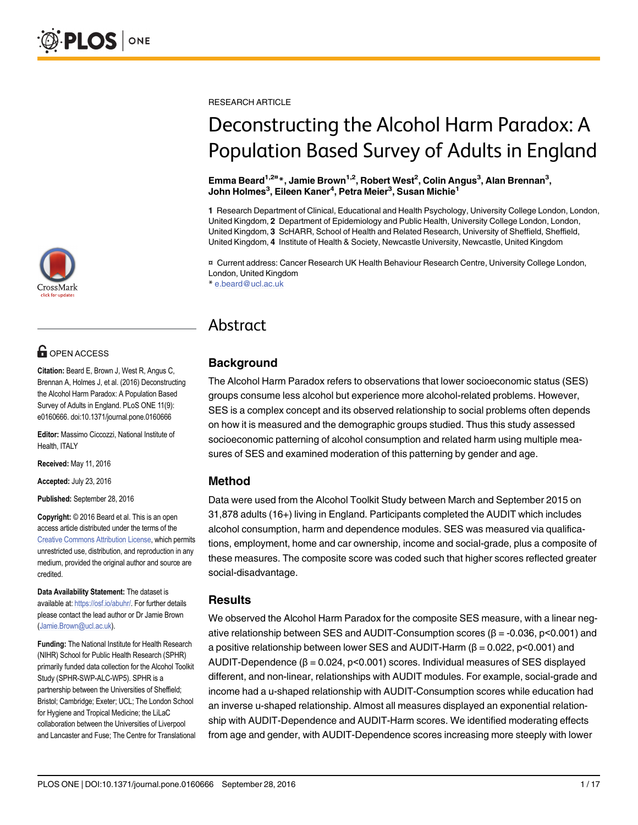

# **OPEN ACCESS**

Citation: Beard E, Brown J, West R, Angus C, Brennan A, Holmes J, et al. (2016) Deconstructing the Alcohol Harm Paradox: A Population Based Survey of Adults in England. PLoS ONE 11(9): e0160666. doi:10.1371/journal.pone.0160666

Editor: Massimo Ciccozzi, National Institute of Health, ITALY

Received: May 11, 2016

Accepted: July 23, 2016

Published: September 28, 2016

Copyright: © 2016 Beard et al. This is an open access article distributed under the terms of the [Creative Commons Attribution License,](http://creativecommons.org/licenses/by/4.0/) which permits unrestricted use, distribution, and reproduction in any medium, provided the original author and source are credited.

Data Availability Statement: The dataset is available at: [https://osf.io/abuhr/.](https://osf.io/abuhr/) For further details please contact the lead author or Dr Jamie Brown (Jamie.Brown@ucl.ac.uk).

Funding: The National Institute for Health Research (NIHR) School for Public Health Research (SPHR) primarily funded data collection for the Alcohol Toolkit Study (SPHR-SWP-ALC-WP5). SPHR is a partnership between the Universities of Sheffield; Bristol; Cambridge; Exeter; UCL; The London School for Hygiene and Tropical Medicine; the LiLaC collaboration between the Universities of Liverpool and Lancaster and Fuse; The Centre for Translational RESEARCH ARTICLE

# Deconstructing the Alcohol Harm Paradox: A Population Based Survey of Adults in England

Emma Beard<sup>1,2¤</sup>\*, Jamie Brown<sup>1,2</sup>, Robert West<sup>2</sup>, Colin Angus<sup>3</sup>, Alan Brennan<sup>3</sup>, John Holmes $^3$ , Eileen Kaner $^4$ , Petra Meier $^3$ , Susan Michie $^1$ 

1 Research Department of Clinical, Educational and Health Psychology, University College London, London, United Kingdom, 2 Department of Epidemiology and Public Health, University College London, London, United Kingdom, 3 ScHARR, School of Health and Related Research, University of Sheffield, Sheffield, United Kingdom, 4 Institute of Health & Society, Newcastle University, Newcastle, United Kingdom

¤ Current address: Cancer Research UK Health Behaviour Research Centre, University College London, London, United Kingdom \* e.beard@ucl.ac.uk

Abstract

# Background

The Alcohol Harm Paradox refers to observations that lower socioeconomic status (SES) groups consume less alcohol but experience more alcohol-related problems. However, SES is a complex concept and its observed relationship to social problems often depends on how it is measured and the demographic groups studied. Thus this study assessed socioeconomic patterning of alcohol consumption and related harm using multiple measures of SES and examined moderation of this patterning by gender and age.

#### Method

Data were used from the Alcohol Toolkit Study between March and September 2015 on 31,878 adults (16+) living in England. Participants completed the AUDIT which includes alcohol consumption, harm and dependence modules. SES was measured via qualifications, employment, home and car ownership, income and social-grade, plus a composite of these measures. The composite score was coded such that higher scores reflected greater social-disadvantage.

#### **Results**

We observed the Alcohol Harm Paradox for the composite SES measure, with a linear negative relationship between SES and AUDIT-Consumption scores ( $β = -0.036$ ,  $p < 0.001$ ) and a positive relationship between lower SES and AUDIT-Harm ( $\beta$  = 0.022, p<0.001) and AUDIT-Dependence  $(\beta = 0.024, p < 0.001)$  scores. Individual measures of SES displayed different, and non-linear, relationships with AUDIT modules. For example, social-grade and income had a u-shaped relationship with AUDIT-Consumption scores while education had an inverse u-shaped relationship. Almost all measures displayed an exponential relationship with AUDIT-Dependence and AUDIT-Harm scores. We identified moderating effects from age and gender, with AUDIT-Dependence scores increasing more steeply with lower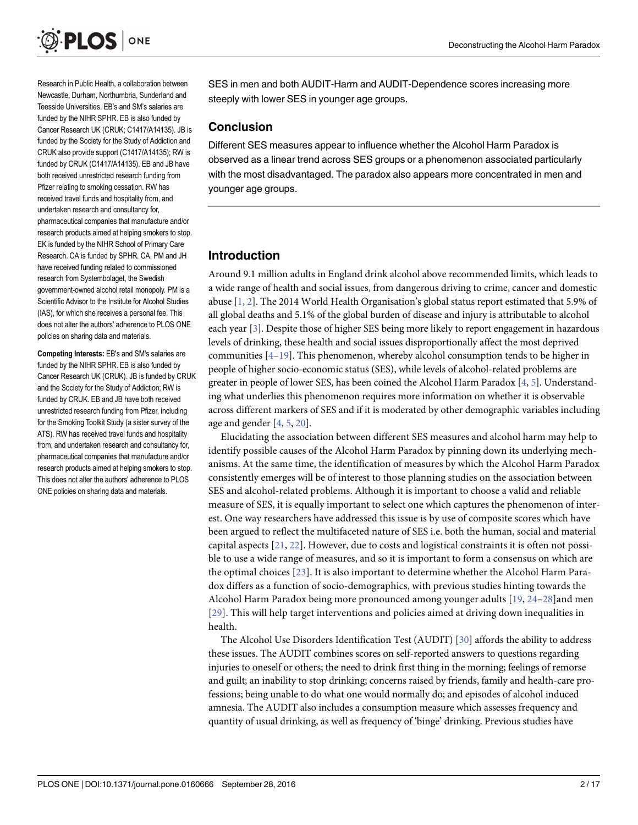<span id="page-1-0"></span>

Research in Public Health, a collaboration between Newcastle, Durham, Northumbria, Sunderland and Teesside Universities. EB's and SM's salaries are funded by the NIHR SPHR. EB is also funded by Cancer Research UK (CRUK; C1417/A14135). JB is funded by the Society for the Study of Addiction and CRUK also provide support (C1417/A14135); RW is funded by CRUK (C1417/A14135). EB and JB have both received unrestricted research funding from Pfizer relating to smoking cessation. RW has received travel funds and hospitality from, and undertaken research and consultancy for, pharmaceutical companies that manufacture and/or research products aimed at helping smokers to stop. EK is funded by the NIHR School of Primary Care Research. CA is funded by SPHR. CA, PM and JH have received funding related to commissioned research from Systembolaget, the Swedish government-owned alcohol retail monopoly. PM is a Scientific Advisor to the Institute for Alcohol Studies (IAS), for which she receives a personal fee. This does not alter the authors' adherence to PLOS ONE policies on sharing data and materials.

Competing Interests: EB's and SM's salaries are funded by the NIHR SPHR. EB is also funded by Cancer Research UK (CRUK). JB is funded by CRUK and the Society for the Study of Addiction; RW is funded by CRUK. EB and JB have both received unrestricted research funding from Pfizer, including for the Smoking Toolkit Study (a sister survey of the ATS). RW has received travel funds and hospitality from, and undertaken research and consultancy for, pharmaceutical companies that manufacture and/or research products aimed at helping smokers to stop. This does not alter the authors' adherence to PLOS ONE policies on sharing data and materials.

SES in men and both AUDIT-Harm and AUDIT-Dependence scores increasing more steeply with lower SES in younger age groups.

### **Conclusion**

Different SES measures appear to influence whether the Alcohol Harm Paradox is observed as a linear trend across SES groups or a phenomenon associated particularly with the most disadvantaged. The paradox also appears more concentrated in men and younger age groups.

# Introduction

Around 9.1 million adults in England drink alcohol above recommended limits, which leads to a wide range of health and social issues, from dangerous driving to crime, cancer and domestic abuse [\[1,](#page-13-0) [2](#page-13-0)]. The 2014 World Health Organisation's global status report estimated that 5.9% of all global deaths and 5.1% of the global burden of disease and injury is attributable to alcohol each year [[3](#page-13-0)]. Despite those of higher SES being more likely to report engagement in hazardous levels of drinking, these health and social issues disproportionally affect the most deprived communities  $[4-19]$  $[4-19]$  $[4-19]$  $[4-19]$  $[4-19]$ . This phenomenon, whereby alcohol consumption tends to be higher in people of higher socio-economic status (SES), while levels of alcohol-related problems are greater in people of lower SES, has been coined the Alcohol Harm Paradox  $[4, 5]$  $[4, 5]$  $[4, 5]$  $[4, 5]$  $[4, 5]$ . Understanding what underlies this phenomenon requires more information on whether it is observable across different markers of SES and if it is moderated by other demographic variables including age and gender  $[4, 5, 20]$  $[4, 5, 20]$  $[4, 5, 20]$  $[4, 5, 20]$  $[4, 5, 20]$  $[4, 5, 20]$ .

Elucidating the association between different SES measures and alcohol harm may help to identify possible causes of the Alcohol Harm Paradox by pinning down its underlying mechanisms. At the same time, the identification of measures by which the Alcohol Harm Paradox consistently emerges will be of interest to those planning studies on the association between SES and alcohol-related problems. Although it is important to choose a valid and reliable measure of SES, it is equally important to select one which captures the phenomenon of interest. One way researchers have addressed this issue is by use of composite scores which have been argued to reflect the multifaceted nature of SES i.e. both the human, social and material capital aspects [[21](#page-14-0), [22\]](#page-14-0). However, due to costs and logistical constraints it is often not possible to use a wide range of measures, and so it is important to form a consensus on which are the optimal choices [\[23\]](#page-14-0). It is also important to determine whether the Alcohol Harm Paradox differs as a function of socio-demographics, with previous studies hinting towards the Alcohol Harm Paradox being more pronounced among younger adults [[19,](#page-14-0) [24](#page-14-0)–[28\]](#page-14-0)and men [[29](#page-14-0)]. This will help target interventions and policies aimed at driving down inequalities in health.

The Alcohol Use Disorders Identification Test (AUDIT) [[30](#page-14-0)] affords the ability to address these issues. The AUDIT combines scores on self-reported answers to questions regarding injuries to oneself or others; the need to drink first thing in the morning; feelings of remorse and guilt; an inability to stop drinking; concerns raised by friends, family and health-care professions; being unable to do what one would normally do; and episodes of alcohol induced amnesia. The AUDIT also includes a consumption measure which assesses frequency and quantity of usual drinking, as well as frequency of 'binge' drinking. Previous studies have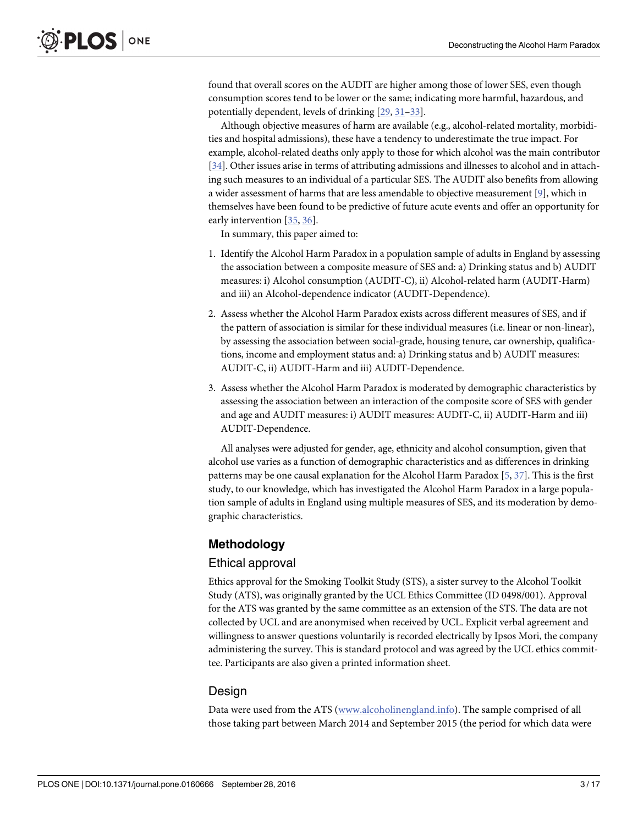<span id="page-2-0"></span>found that overall scores on the AUDIT are higher among those of lower SES, even though consumption scores tend to be lower or the same; indicating more harmful, hazardous, and potentially dependent, levels of drinking [\[29,](#page-14-0) [31](#page-14-0)–[33](#page-14-0)].

Although objective measures of harm are available (e.g., alcohol-related mortality, morbidities and hospital admissions), these have a tendency to underestimate the true impact. For example, alcohol-related deaths only apply to those for which alcohol was the main contributor [\[34](#page-15-0)]. Other issues arise in terms of attributing admissions and illnesses to alcohol and in attaching such measures to an individual of a particular SES. The AUDIT also benefits from allowing a wider assessment of harms that are less amendable to objective measurement [\[9](#page-13-0)], which in themselves have been found to be predictive of future acute events and offer an opportunity for early intervention [\[35,](#page-15-0) [36\]](#page-15-0).

In summary, this paper aimed to:

- 1. Identify the Alcohol Harm Paradox in a population sample of adults in England by assessing the association between a composite measure of SES and: a) Drinking status and b) AUDIT measures: i) Alcohol consumption (AUDIT-C), ii) Alcohol-related harm (AUDIT-Harm) and iii) an Alcohol-dependence indicator (AUDIT-Dependence).
- 2. Assess whether the Alcohol Harm Paradox exists across different measures of SES, and if the pattern of association is similar for these individual measures (i.e. linear or non-linear), by assessing the association between social-grade, housing tenure, car ownership, qualifications, income and employment status and: a) Drinking status and b) AUDIT measures: AUDIT-C, ii) AUDIT-Harm and iii) AUDIT-Dependence.
- 3. Assess whether the Alcohol Harm Paradox is moderated by demographic characteristics by assessing the association between an interaction of the composite score of SES with gender and age and AUDIT measures: i) AUDIT measures: AUDIT-C, ii) AUDIT-Harm and iii) AUDIT-Dependence.

All analyses were adjusted for gender, age, ethnicity and alcohol consumption, given that alcohol use varies as a function of demographic characteristics and as differences in drinking patterns may be one causal explanation for the Alcohol Harm Paradox [\[5](#page-13-0), [37](#page-15-0)]. This is the first study, to our knowledge, which has investigated the Alcohol Harm Paradox in a large population sample of adults in England using multiple measures of SES, and its moderation by demographic characteristics.

# Methodology

#### Ethical approval

Ethics approval for the Smoking Toolkit Study (STS), a sister survey to the Alcohol Toolkit Study (ATS), was originally granted by the UCL Ethics Committee (ID 0498/001). Approval for the ATS was granted by the same committee as an extension of the STS. The data are not collected by UCL and are anonymised when received by UCL. Explicit verbal agreement and willingness to answer questions voluntarily is recorded electrically by Ipsos Mori, the company administering the survey. This is standard protocol and was agreed by the UCL ethics committee. Participants are also given a printed information sheet.

#### **Design**

Data were used from the ATS ([www.alcoholinengland.info](http://www.alcoholinengland.info)). The sample comprised of all those taking part between March 2014 and September 2015 (the period for which data were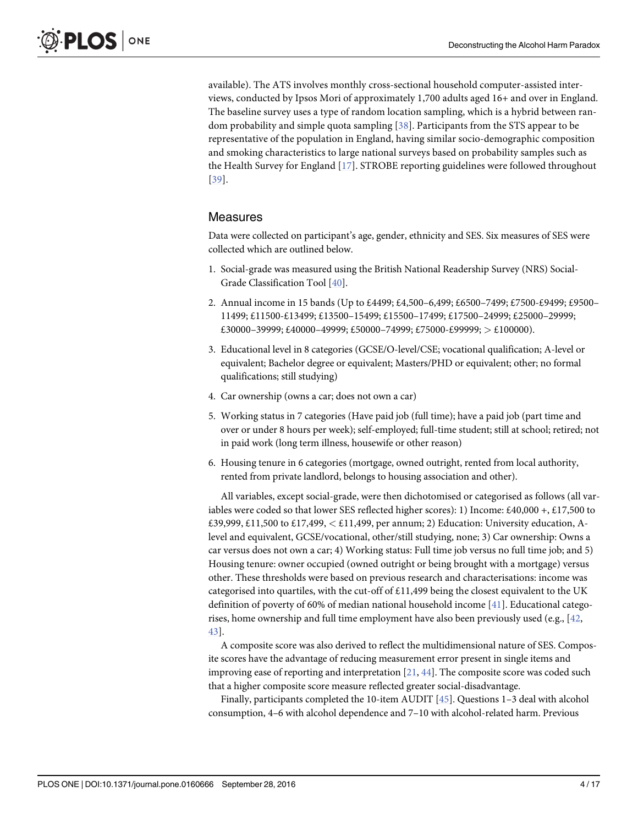<span id="page-3-0"></span>available). The ATS involves monthly cross-sectional household computer-assisted interviews, conducted by Ipsos Mori of approximately 1,700 adults aged 16+ and over in England. The baseline survey uses a type of random location sampling, which is a hybrid between random probability and simple quota sampling [\[38](#page-15-0)]. Participants from the STS appear to be representative of the population in England, having similar socio-demographic composition and smoking characteristics to large national surveys based on probability samples such as the Health Survey for England [[17\]](#page-14-0). STROBE reporting guidelines were followed throughout [[39](#page-15-0)].

### Measures

Data were collected on participant's age, gender, ethnicity and SES. Six measures of SES were collected which are outlined below.

- 1. Social-grade was measured using the British National Readership Survey (NRS) Social-Grade Classification Tool [[40](#page-15-0)].
- 2. Annual income in 15 bands (Up to £4499; £4,500–6,499; £6500–7499; £7500-£9499; £9500– 11499; £11500-£13499; £13500–15499; £15500–17499; £17500–24999; £25000–29999;  $\pounds30000-39999; \pounds40000-49999; \pounds50000-74999; \pounds75000-\pounds99999; \pounds100000$
- 3. Educational level in 8 categories (GCSE/O-level/CSE; vocational qualification; A-level or equivalent; Bachelor degree or equivalent; Masters/PHD or equivalent; other; no formal qualifications; still studying)
- 4. Car ownership (owns a car; does not own a car)
- 5. Working status in 7 categories (Have paid job (full time); have a paid job (part time and over or under 8 hours per week); self-employed; full-time student; still at school; retired; not in paid work (long term illness, housewife or other reason)
- 6. Housing tenure in 6 categories (mortgage, owned outright, rented from local authority, rented from private landlord, belongs to housing association and other).

All variables, except social-grade, were then dichotomised or categorised as follows (all variables were coded so that lower SES reflected higher scores): 1) Income: £40,000 +, £17,500 to £39,999, £11,500 to £17,499,  $\lt$  £11,499, per annum; 2) Education: University education, Alevel and equivalent, GCSE/vocational, other/still studying, none; 3) Car ownership: Owns a car versus does not own a car; 4) Working status: Full time job versus no full time job; and 5) Housing tenure: owner occupied (owned outright or being brought with a mortgage) versus other. These thresholds were based on previous research and characterisations: income was categorised into quartiles, with the cut-off of  $£11,499$  being the closest equivalent to the UK definition of poverty of 60% of median national household income [[41\]](#page-15-0). Educational categorises, home ownership and full time employment have also been previously used (e.g.,  $[42]$  $[42]$ , [43\]](#page-15-0).

A composite score was also derived to reflect the multidimensional nature of SES. Composite scores have the advantage of reducing measurement error present in single items and improving ease of reporting and interpretation  $[21, 44]$  $[21, 44]$  $[21, 44]$  $[21, 44]$ . The composite score was coded such that a higher composite score measure reflected greater social-disadvantage.

Finally, participants completed the 10-item AUDIT [[45](#page-15-0)]. Questions 1–3 deal with alcohol consumption, 4–6 with alcohol dependence and 7–10 with alcohol-related harm. Previous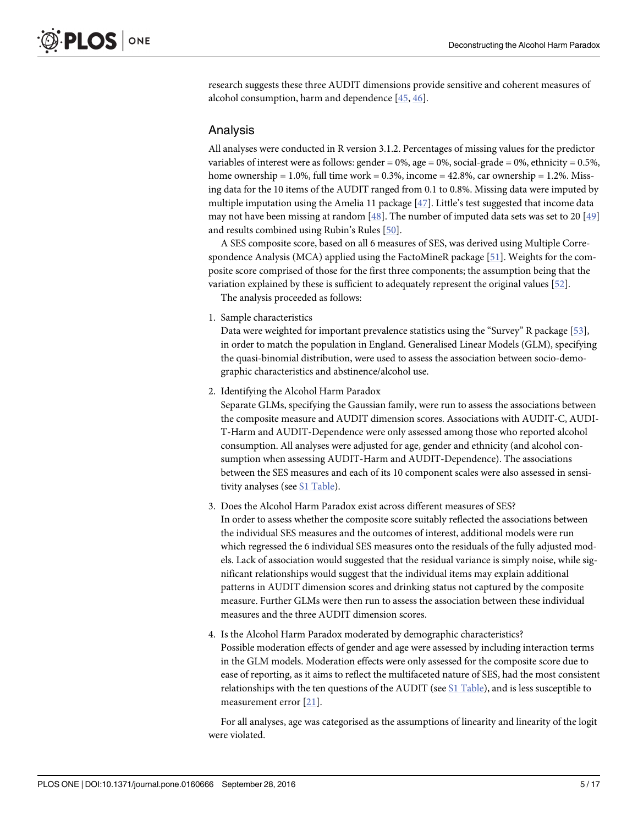<span id="page-4-0"></span>research suggests these three AUDIT dimensions provide sensitive and coherent measures of alcohol consumption, harm and dependence [\[45,](#page-15-0) [46\]](#page-15-0).

#### Analysis

All analyses were conducted in R version 3.1.2. Percentages of missing values for the predictor variables of interest were as follows: gender =  $0\%$ , age =  $0\%$ , social-grade =  $0\%$ , ethnicity =  $0.5\%$ , home ownership =  $1.0\%$ , full time work =  $0.3\%$ , income =  $42.8\%$ , car ownership =  $1.2\%$ . Missing data for the 10 items of the AUDIT ranged from 0.1 to 0.8%. Missing data were imputed by multiple imputation using the Amelia 11 package [[47](#page-15-0)]. Little's test suggested that income data may not have been missing at random  $[48]$  $[48]$ . The number of imputed data sets was set to 20  $[49]$  $[49]$  $[49]$ and results combined using Rubin's Rules [[50](#page-15-0)].

A SES composite score, based on all 6 measures of SES, was derived using Multiple Correspondence Analysis (MCA) applied using the FactoMineR package  $[51]$  $[51]$ . Weights for the composite score comprised of those for the first three components; the assumption being that the variation explained by these is sufficient to adequately represent the original values [\[52\]](#page-15-0).

The analysis proceeded as follows:

1. Sample characteristics

Data were weighted for important prevalence statistics using the "Survey" R package [[53](#page-15-0)], in order to match the population in England. Generalised Linear Models (GLM), specifying the quasi-binomial distribution, were used to assess the association between socio-demographic characteristics and abstinence/alcohol use.

2. Identifying the Alcohol Harm Paradox

Separate GLMs, specifying the Gaussian family, were run to assess the associations between the composite measure and AUDIT dimension scores. Associations with AUDIT-C, AUDI-T-Harm and AUDIT-Dependence were only assessed among those who reported alcohol consumption. All analyses were adjusted for age, gender and ethnicity (and alcohol consumption when assessing AUDIT-Harm and AUDIT-Dependence). The associations between the SES measures and each of its 10 component scales were also assessed in sensitivity analyses (see [S1 Table](#page-13-0)).

- 3. Does the Alcohol Harm Paradox exist across different measures of SES? In order to assess whether the composite score suitably reflected the associations between the individual SES measures and the outcomes of interest, additional models were run which regressed the 6 individual SES measures onto the residuals of the fully adjusted models. Lack of association would suggested that the residual variance is simply noise, while significant relationships would suggest that the individual items may explain additional patterns in AUDIT dimension scores and drinking status not captured by the composite measure. Further GLMs were then run to assess the association between these individual measures and the three AUDIT dimension scores.
- 4. Is the Alcohol Harm Paradox moderated by demographic characteristics? Possible moderation effects of gender and age were assessed by including interaction terms in the GLM models. Moderation effects were only assessed for the composite score due to ease of reporting, as it aims to reflect the multifaceted nature of SES, had the most consistent relationships with the ten questions of the AUDIT (see  $\Sigma1$  Table), and is less susceptible to measurement error [\[21\]](#page-14-0).

For all analyses, age was categorised as the assumptions of linearity and linearity of the logit were violated.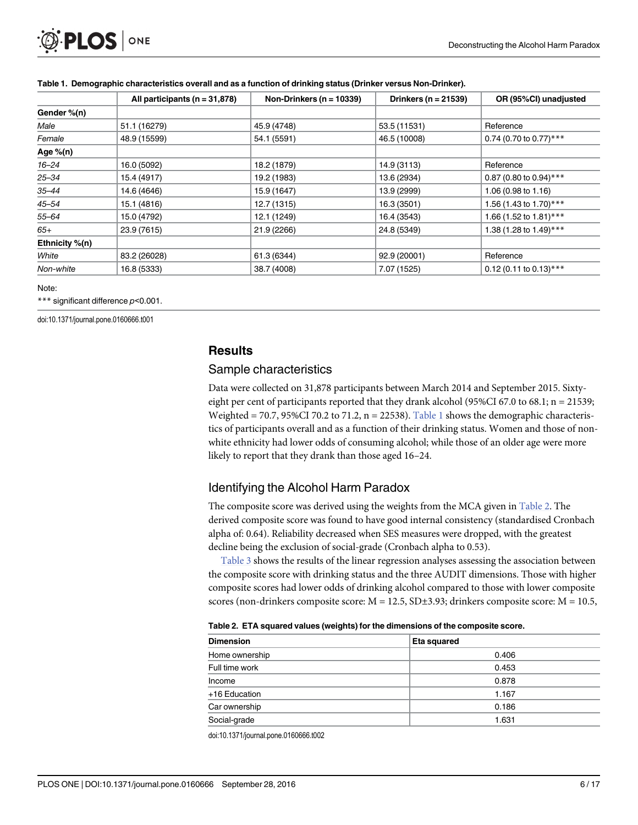<span id="page-5-0"></span>

|                | All participants ( $n = 31,878$ ) | Non-Drinkers ( $n = 10339$ ) | Drinkers ( $n = 21539$ ) | OR (95%CI) unadjusted    |
|----------------|-----------------------------------|------------------------------|--------------------------|--------------------------|
| Gender %(n)    |                                   |                              |                          |                          |
| Male           | 51.1 (16279)                      | 45.9 (4748)                  | 53.5 (11531)             | Reference                |
| Female         | 48.9 (15599)                      | 54.1 (5591)                  | 46.5 (10008)             | 0.74 (0.70 to 0.77)***   |
| Age $%$ (n)    |                                   |                              |                          |                          |
| $16 - 24$      | 16.0 (5092)                       | 18.2 (1879)                  | 14.9 (3113)              | Reference                |
| $25 - 34$      | 15.4 (4917)                       | 19.2 (1983)                  | 13.6 (2934)              | 0.87 (0.80 to 0.94)***   |
| $35 - 44$      | 14.6 (4646)                       | 15.9 (1647)                  | 13.9 (2999)              | 1.06 (0.98 to 1.16)      |
| $45 - 54$      | 15.1 (4816)                       | 12.7 (1315)                  | 16.3 (3501)              | 1.56 (1.43 to 1.70)***   |
| $55 - 64$      | 15.0 (4792)                       | 12.1 (1249)                  | 16.4 (3543)              | 1.66 (1.52 to 1.81)***   |
| $65+$          | 23.9 (7615)                       | 21.9 (2266)                  | 24.8 (5349)              | 1.38 (1.28 to 1.49)***   |
| Ethnicity %(n) |                                   |                              |                          |                          |
| White          | 83.2 (26028)                      | 61.3 (6344)                  | 92.9 (20001)             | Reference                |
| Non-white      | 16.8 (5333)                       | 38.7 (4008)                  | 7.07 (1525)              | $0.12$ (0.11 to 0.13)*** |

#### Table 1. Demographic characteristics overall and as a function of drinking status (Drinker versus Non-Drinker).

#### Note:

\*\*\* significant difference p<0.001.

doi:10.1371/journal.pone.0160666.t001

# **Results**

#### Sample characteristics

Data were collected on 31,878 participants between March 2014 and September 2015. Sixtyeight per cent of participants reported that they drank alcohol (95%CI 67.0 to 68.1;  $n = 21539$ ; Weighted = 70.7, 95%CI 70.2 to 71.2,  $n = 22538$ ). Table 1 shows the demographic characteristics of participants overall and as a function of their drinking status. Women and those of nonwhite ethnicity had lower odds of consuming alcohol; while those of an older age were more likely to report that they drank than those aged 16–24.

# Identifying the Alcohol Harm Paradox

The composite score was derived using the weights from the MCA given in Table 2. The derived composite score was found to have good internal consistency (standardised Cronbach alpha of: 0.64). Reliability decreased when SES measures were dropped, with the greatest decline being the exclusion of social-grade (Cronbach alpha to 0.53).

[Table 3](#page-6-0) shows the results of the linear regression analyses assessing the association between the composite score with drinking status and the three AUDIT dimensions. Those with higher composite scores had lower odds of drinking alcohol compared to those with lower composite scores (non-drinkers composite score:  $M = 12.5$ ,  $SD \pm 3.93$ ; drinkers composite score:  $M = 10.5$ ,

| . www.composition.com/windows/web/ind/windows/windows/windows/web/indows/en |             |  |  |  |  |  |
|-----------------------------------------------------------------------------|-------------|--|--|--|--|--|
| <b>Dimension</b>                                                            | Eta squared |  |  |  |  |  |
| Home ownership                                                              | 0.406       |  |  |  |  |  |
| Full time work                                                              | 0.453       |  |  |  |  |  |
| Income                                                                      | 0.878       |  |  |  |  |  |
| +16 Education                                                               | 1.167       |  |  |  |  |  |
| Car ownership                                                               | 0.186       |  |  |  |  |  |
| Social-grade                                                                | 1.631       |  |  |  |  |  |

Table 2. ETA squared values (weights) for the dimensions of the composite score.

doi:10.1371/journal.pone.0160666.t002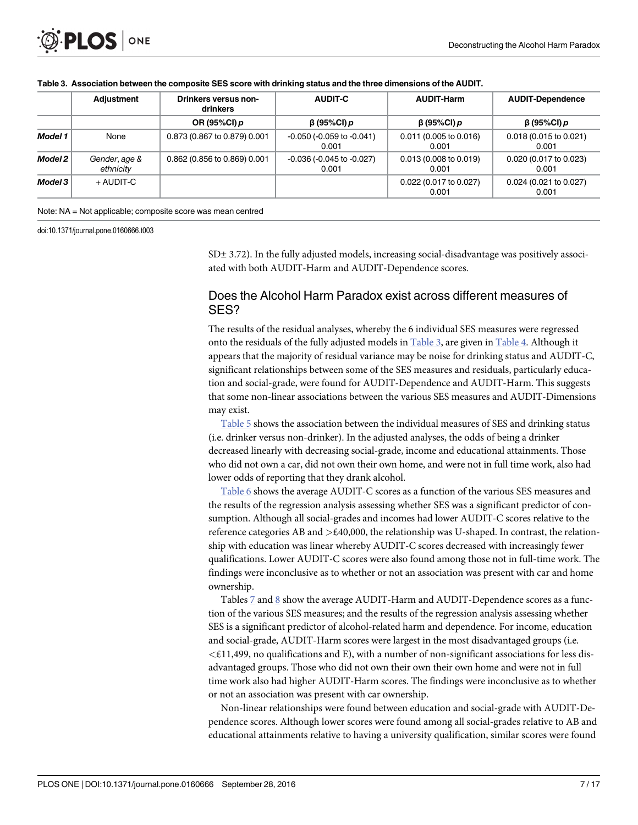|         | <b>Adjustment</b>          | Drinkers versus non-<br>drinkers | <b>AUDIT-C</b>                             | <b>AUDIT-Harm</b>               | <b>AUDIT-Dependence</b>                   |  |
|---------|----------------------------|----------------------------------|--------------------------------------------|---------------------------------|-------------------------------------------|--|
|         |                            | OR (95%CI) $p$                   | $\beta$ (95%CI) p                          | $\beta$ (95%CI) p               | β(95%CI) p                                |  |
| Model 1 | None                       | 0.873 (0.867 to 0.879) 0.001     | $-0.050$ ( $-0.059$ to $-0.041$ )<br>0.001 | 0.011(0.005 to 0.016)<br>0.001  | $0.018(0.015 \text{ to } 0.021)$<br>0.001 |  |
| Model 2 | Gender, age &<br>ethnicity | 0.862 (0.856 to 0.869) 0.001     | $-0.036$ ( $-0.045$ to $-0.027$ )<br>0.001 | 0.013(0.008 to 0.019)<br>0.001  | 0.020 (0.017 to 0.023)<br>0.001           |  |
| Model 3 | + AUDIT-C                  |                                  |                                            | 0.022 (0.017 to 0.027)<br>0.001 | 0.024 (0.021 to 0.027)<br>0.001           |  |

#### <span id="page-6-0"></span>[Table 3.](#page-5-0) Association between the composite SES score with drinking status and the three dimensions of the AUDIT.

Note: NA = Not applicable; composite score was mean centred

doi:10.1371/journal.pone.0160666.t003

 $SD±$  3.72). In the fully adjusted models, increasing social-disadvantage was positively associated with both AUDIT-Harm and AUDIT-Dependence scores.

# Does the Alcohol Harm Paradox exist across different measures of SES?

The results of the residual analyses, whereby the 6 individual SES measures were regressed onto the residuals of the fully adjusted models in Table 3, are given in [Table 4](#page-7-0). Although it appears that the majority of residual variance may be noise for drinking status and AUDIT-C, significant relationships between some of the SES measures and residuals, particularly education and social-grade, were found for AUDIT-Dependence and AUDIT-Harm. This suggests that some non-linear associations between the various SES measures and AUDIT-Dimensions may exist.

[Table 5](#page-8-0) shows the association between the individual measures of SES and drinking status (i.e. drinker versus non-drinker). In the adjusted analyses, the odds of being a drinker decreased linearly with decreasing social-grade, income and educational attainments. Those who did not own a car, did not own their own home, and were not in full time work, also had lower odds of reporting that they drank alcohol.

[Table 6](#page-9-0) shows the average AUDIT-C scores as a function of the various SES measures and the results of the regression analysis assessing whether SES was a significant predictor of consumption. Although all social-grades and incomes had lower AUDIT-C scores relative to the reference categories AB and  $\geq$ £40,000, the relationship was U-shaped. In contrast, the relationship with education was linear whereby AUDIT-C scores decreased with increasingly fewer qualifications. Lower AUDIT-C scores were also found among those not in full-time work. The findings were inconclusive as to whether or not an association was present with car and home ownership.

Tables  $\overline{Z}$  and  $\underline{8}$  $\underline{8}$  $\underline{8}$  show the average AUDIT-Harm and AUDIT-Dependence scores as a function of the various SES measures; and the results of the regression analysis assessing whether SES is a significant predictor of alcohol-related harm and dependence. For income, education and social-grade, AUDIT-Harm scores were largest in the most disadvantaged groups (i.e.  $\leq$ £11,499, no qualifications and E), with a number of non-significant associations for less disadvantaged groups. Those who did not own their own their own home and were not in full time work also had higher AUDIT-Harm scores. The findings were inconclusive as to whether or not an association was present with car ownership.

Non-linear relationships were found between education and social-grade with AUDIT-Dependence scores. Although lower scores were found among all social-grades relative to AB and educational attainments relative to having a university qualification, similar scores were found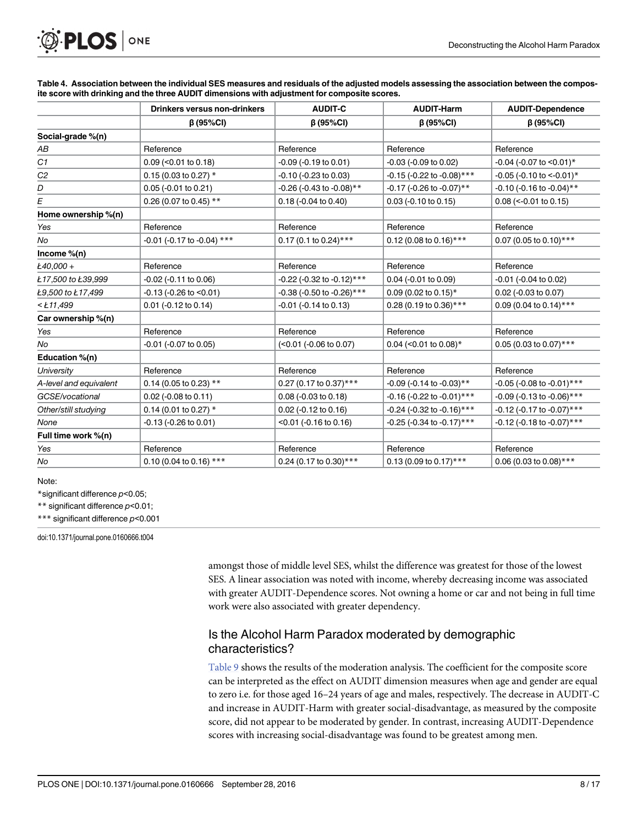<span id="page-7-0"></span>

|                        | <b>Drinkers versus non-drinkers</b> | <b>AUDIT-C</b>                | <b>AUDIT-Harm</b>                | <b>AUDIT-Dependence</b>              |
|------------------------|-------------------------------------|-------------------------------|----------------------------------|--------------------------------------|
|                        | $\beta$ (95%CI)                     | $\beta$ (95%CI)               | $\beta$ (95%CI)                  | $\beta$ (95%CI)                      |
| Social-grade %(n)      |                                     |                               |                                  |                                      |
| АB                     | Reference                           | Reference                     | Reference                        | Reference                            |
| C1                     | $0.09$ (< $0.01$ to $0.18$ )        | -0.09 (-0.19 to 0.01)         | $-0.03$ ( $-0.09$ to $0.02$ )    | $-0.04$ ( $-0.07$ to $\leq 0.01$ )*  |
| C <sub>2</sub>         | 0.15 (0.03 to 0.27) $*$             | -0.10 (-0.23 to 0.03)         | -0.15 (-0.22 to -0.08)***        | $-0.05$ ( $-0.10$ to $\leq -0.01$ )* |
| D                      | $0.05$ (-0.01 to 0.21)              | -0.26 (-0.43 to -0.08)**      | -0.17 (-0.26 to -0.07)**         | $-0.10$ (-0.16 to $-0.04$ )**        |
| E                      | 0.26 (0.07 to 0.45) **              | $0.18$ (-0.04 to 0.40)        | $0.03$ (-0.10 to 0.15)           | $0.08$ (<-0.01 to 0.15)              |
| Home ownership %(n)    |                                     |                               |                                  |                                      |
| Yes                    | Reference                           | Reference                     | Reference                        | Reference                            |
| No                     | $-0.01$ (-0.17 to -0.04) ***        | $0.17$ (0.1 to 0.24)***       | 0.12 (0.08 to 0.16)***           | 0.07 (0.05 to 0.10)***               |
| Income $%$ (n)         |                                     |                               |                                  |                                      |
| $k40.000 +$            | Reference                           | Reference                     | Reference                        | Reference                            |
| Ł17,500 to Ł39,999     | $-0.02$ ( $-0.11$ to $0.06$ )       | -0.22 (-0.32 to -0.12)***     | $0.04$ (-0.01 to 0.09)           | $-0.01$ ( $-0.04$ to $0.02$ )        |
| Ł9,500 to Ł17,499      | $-0.13$ ( $-0.26$ to $< 0.01$ )     | $-0.38$ (-0.50 to -0.26)***   | 0.09 (0.02 to 0.15)*             | 0.02 (-0.03 to 0.07)                 |
| $<$ Ł11,499            | $0.01$ (-0.12 to 0.14)              | $-0.01$ ( $-0.14$ to $0.13$ ) | 0.28 (0.19 to 0.36)***           | 0.09 (0.04 to 0.14)***               |
| Car ownership %(n)     |                                     |                               |                                  |                                      |
| Yes                    | Reference                           | Reference                     | Reference                        | Reference                            |
| No                     | -0.01 (-0.07 to 0.05)               | (<0.01 (-0.06 to 0.07)        | 0.04 (< $0.01$ to 0.08)*         | 0.05 (0.03 to 0.07)***               |
| Education %(n)         |                                     |                               |                                  |                                      |
| <b>University</b>      | Reference                           | Reference                     | Reference                        | Reference                            |
| A-level and equivalent | 0.14 (0.05 to 0.23) **              | 0.27 (0.17 to 0.37)***        | $-0.09$ ( $-0.14$ to $-0.03$ )** | $-0.05$ (-0.08 to $-0.01$ )***       |
| GCSE/vocational        | 0.02 (-0.08 to 0.11)                | $0.08$ (-0.03 to 0.18)        | $-0.16$ (-0.22 to $-0.01$ )***   | $-0.09$ (-0.13 to -0.06)***          |
| Other/still studying   | 0.14 (0.01 to 0.27) $*$             | $0.02$ (-0.12 to 0.16)        | -0.24 (-0.32 to -0.16)***        | -0.12 (-0.17 to -0.07)***            |
| None                   | $-0.13$ ( $-0.26$ to $0.01$ )       | $<$ 0.01 (-0.16 to 0.16)      | -0.25 (-0.34 to -0.17)***        | $-0.12$ (-0.18 to $-0.07$ )***       |
| Full time work %(n)    |                                     |                               |                                  |                                      |
| Yes                    | Reference                           | Reference                     | Reference                        | Reference                            |
| No                     | 0.10 (0.04 to 0.16) ***             | 0.24 (0.17 to 0.30)***        | 0.13 (0.09 to 0.17)***           | $0.06$ (0.03 to 0.08)***             |

[Table 4.](#page-6-0) Association between the individual SES measures and residuals of the adjusted models assessing the association between the composite score with drinking and the three AUDIT dimensions with adjustment for composite scores.

Note:

\*significant difference p<0.05;

\*\* significant difference p<0.01;

\*\*\* significant difference p<0.001

doi:10.1371/journal.pone.0160666.t004

amongst those of middle level SES, whilst the difference was greatest for those of the lowest SES. A linear association was noted with income, whereby decreasing income was associated with greater AUDIT-Dependence scores. Not owning a home or car and not being in full time work were also associated with greater dependency.

# Is the Alcohol Harm Paradox moderated by demographic characteristics?

[Table 9](#page-12-0) shows the results of the moderation analysis. The coefficient for the composite score can be interpreted as the effect on AUDIT dimension measures when age and gender are equal to zero i.e. for those aged 16–24 years of age and males, respectively. The decrease in AUDIT-C and increase in AUDIT-Harm with greater social-disadvantage, as measured by the composite score, did not appear to be moderated by gender. In contrast, increasing AUDIT-Dependence scores with increasing social-disadvantage was found to be greatest among men.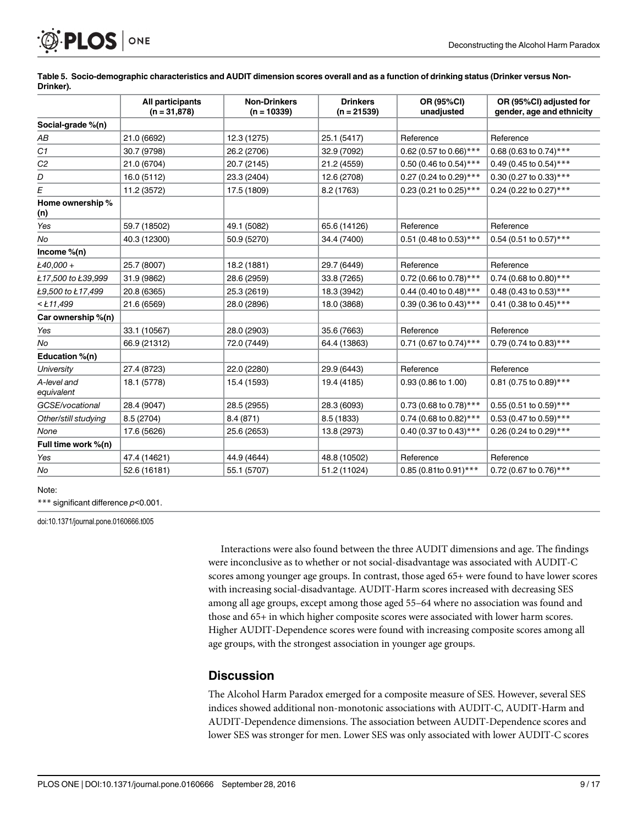<span id="page-8-0"></span>

|                           | All participants<br>$(n = 31,878)$ | <b>Non-Drinkers</b><br>$(n = 10339)$ | <b>Drinkers</b><br>$(n = 21539)$ | OR (95%CI)<br>unadjusted | OR (95%CI) adjusted for<br>gender, age and ethnicity |
|---------------------------|------------------------------------|--------------------------------------|----------------------------------|--------------------------|------------------------------------------------------|
| Social-grade %(n)         |                                    |                                      |                                  |                          |                                                      |
| АB                        | 21.0 (6692)                        | 12.3 (1275)                          | 25.1 (5417)                      | Reference                | Reference                                            |
| C1                        | 30.7 (9798)                        | 26.2 (2706)                          | 32.9 (7092)                      | 0.62 (0.57 to 0.66)***   | 0.68 (0.63 to 0.74)***                               |
| C <sub>2</sub>            | 21.0 (6704)                        | 20.7 (2145)                          | 21.2 (4559)                      | 0.50 (0.46 to 0.54)***   | 0.49 (0.45 to 0.54)***                               |
| D                         | 16.0 (5112)                        | 23.3 (2404)                          | 12.6 (2708)                      | 0.27 (0.24 to 0.29)***   | 0.30 (0.27 to 0.33)***                               |
| E                         | 11.2 (3572)                        | 17.5 (1809)                          | 8.2 (1763)                       | 0.23 (0.21 to 0.25)***   | 0.24 (0.22 to 0.27)***                               |
| Home ownership %<br>(n)   |                                    |                                      |                                  |                          |                                                      |
| Yes                       | 59.7 (18502)                       | 49.1 (5082)                          | 65.6 (14126)                     | Reference                | Reference                                            |
| No                        | 40.3 (12300)                       | 50.9 (5270)                          | 34.4 (7400)                      | 0.51 (0.48 to 0.53)***   | $0.54$ (0.51 to 0.57)***                             |
| Income $%$ (n)            |                                    |                                      |                                  |                          |                                                      |
| Ł40,000 +                 | 25.7 (8007)                        | 18.2 (1881)                          | 29.7 (6449)                      | Reference                | Reference                                            |
| Ł17,500 to Ł39,999        | 31.9 (9862)                        | 28.6 (2959)                          | 33.8 (7265)                      | 0.72 (0.66 to 0.78)***   | 0.74 (0.68 to 0.80)***                               |
| Ł9,500 to Ł17,499         | 20.8 (6365)                        | 25.3 (2619)                          | 18.3 (3942)                      | 0.44 (0.40 to 0.48)***   | 0.48 (0.43 to 0.53)***                               |
| $<$ Ł11,499               | 21.6 (6569)                        | 28.0 (2896)                          | 18.0 (3868)                      | 0.39 (0.36 to 0.43)***   | 0.41 (0.38 to 0.45)***                               |
| Car ownership %(n)        |                                    |                                      |                                  |                          |                                                      |
| Yes                       | 33.1 (10567)                       | 28.0 (2903)                          | 35.6 (7663)                      | Reference                | Reference                                            |
| No                        | 66.9 (21312)                       | 72.0 (7449)                          | 64.4 (13863)                     | 0.71 (0.67 to 0.74)***   | 0.79 (0.74 to 0.83)***                               |
| Education %(n)            |                                    |                                      |                                  |                          |                                                      |
| <b>University</b>         | 27.4 (8723)                        | 22.0 (2280)                          | 29.9 (6443)                      | Reference                | Reference                                            |
| A-level and<br>equivalent | 18.1 (5778)                        | 15.4 (1593)                          | 19.4 (4185)                      | 0.93 (0.86 to 1.00)      | 0.81 (0.75 to 0.89)***                               |
| GCSE/vocational           | 28.4 (9047)                        | 28.5 (2955)                          | 28.3 (6093)                      | 0.73 (0.68 to 0.78)***   | $0.55$ (0.51 to 0.59)***                             |
| Other/still studying      | 8.5 (2704)                         | 8.4(871)                             | 8.5 (1833)                       | 0.74 (0.68 to 0.82)***   | 0.53 (0.47 to 0.59)***                               |
| None                      | 17.6 (5626)                        | 25.6 (2653)                          | 13.8 (2973)                      | 0.40 (0.37 to 0.43)***   | 0.26 (0.24 to 0.29)***                               |
| Full time work %(n)       |                                    |                                      |                                  |                          |                                                      |
| Yes                       | 47.4 (14621)                       | 44.9 (4644)                          | 48.8 (10502)                     | Reference                | Reference                                            |
| No                        | 52.6 (16181)                       | 55.1 (5707)                          | 51.2 (11024)                     | 0.85 (0.81to 0.91)***    | 0.72 (0.67 to 0.76)***                               |

[Table 5.](#page-6-0) Socio-demographic characteristics and AUDIT dimension scores overall and as a function of drinking status (Drinker versus Non-Drinker).

#### Note:

\*\*\* significant difference p<0.001.

doi:10.1371/journal.pone.0160666.t005

Interactions were also found between the three AUDIT dimensions and age. The findings were inconclusive as to whether or not social-disadvantage was associated with AUDIT-C scores among younger age groups. In contrast, those aged 65+ were found to have lower scores with increasing social-disadvantage. AUDIT-Harm scores increased with decreasing SES among all age groups, except among those aged 55–64 where no association was found and those and 65+ in which higher composite scores were associated with lower harm scores. Higher AUDIT-Dependence scores were found with increasing composite scores among all age groups, with the strongest association in younger age groups.

#### **Discussion**

The Alcohol Harm Paradox emerged for a composite measure of SES. However, several SES indices showed additional non-monotonic associations with AUDIT-C, AUDIT-Harm and AUDIT-Dependence dimensions. The association between AUDIT-Dependence scores and lower SES was stronger for men. Lower SES was only associated with lower AUDIT-C scores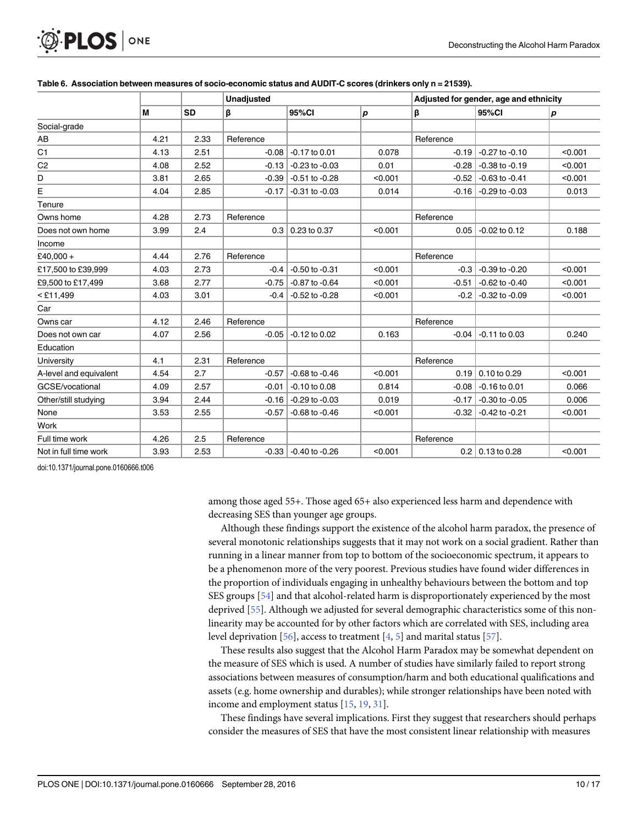<span id="page-9-0"></span>

|                        |      |           | <b>Unadjusted</b> |                    |         | Adjusted for gender, age and ethnicity |                         |         |  |
|------------------------|------|-----------|-------------------|--------------------|---------|----------------------------------------|-------------------------|---------|--|
|                        | M    | <b>SD</b> | β                 | 95%CI              | p       | β                                      | 95%CI                   | р       |  |
| Social-grade           |      |           |                   |                    |         |                                        |                         |         |  |
| AB                     | 4.21 | 2.33      | Reference         |                    |         | Reference                              |                         |         |  |
| C <sub>1</sub>         | 4.13 | 2.51      | $-0.08$           | $-0.17$ to 0.01    | 0.078   | $-0.19$                                | $-0.27$ to $-0.10$      | < 0.001 |  |
| C <sub>2</sub>         | 4.08 | 2.52      | $-0.13$           | $-0.23$ to $-0.03$ | 0.01    | $-0.28$                                | $-0.38$ to $-0.19$      | < 0.001 |  |
| D                      | 3.81 | 2.65      | $-0.39$           | $-0.51$ to $-0.28$ | < 0.001 | $-0.52$                                | $-0.63$ to $-0.41$      | < 0.001 |  |
| E                      | 4.04 | 2.85      | $-0.17$           | $-0.31$ to $-0.03$ | 0.014   | $-0.16$                                | $-0.29$ to $-0.03$      | 0.013   |  |
| Tenure                 |      |           |                   |                    |         |                                        |                         |         |  |
| Owns home              | 4.28 | 2.73      | Reference         |                    |         | Reference                              |                         |         |  |
| Does not own home      | 3.99 | 2.4       | 0.3               | 0.23 to 0.37       | < 0.001 | 0.05                                   | $-0.02$ to 0.12         | 0.188   |  |
| Income                 |      |           |                   |                    |         |                                        |                         |         |  |
| £40,000 +              | 4.44 | 2.76      | Reference         |                    |         | Reference                              |                         |         |  |
| £17,500 to £39,999     | 4.03 | 2.73      | $-0.4$            | $-0.50$ to $-0.31$ | < 0.001 | $-0.3$                                 | $-0.39$ to $-0.20$      | < 0.001 |  |
| £9,500 to £17,499      | 3.68 | 2.77      | $-0.75$           | $-0.87$ to $-0.64$ | < 0.001 | $-0.51$                                | $-0.62$ to $-0.40$      | < 0.001 |  |
| $<$ £11,499            | 4.03 | 3.01      | $-0.4$            | $-0.52$ to $-0.28$ | < 0.001 | $-0.2$                                 | $-0.32$ to $-0.09$      | < 0.001 |  |
| Car                    |      |           |                   |                    |         |                                        |                         |         |  |
| Owns car               | 4.12 | 2.46      | Reference         |                    |         | Reference                              |                         |         |  |
| Does not own car       | 4.07 | 2.56      | $-0.05$           | $-0.12$ to 0.02    | 0.163   | $-0.04$                                | $-0.11$ to 0.03         | 0.240   |  |
| Education              |      |           |                   |                    |         |                                        |                         |         |  |
| University             | 4.1  | 2.31      | Reference         |                    |         | Reference                              |                         |         |  |
| A-level and equivalent | 4.54 | 2.7       | $-0.57$           | $-0.68$ to $-0.46$ | < 0.001 | 0.19                                   | $0.10$ to 0.29          | < 0.001 |  |
| GCSE/vocational        | 4.09 | 2.57      | $-0.01$           | $-0.10$ to $0.08$  | 0.814   | $-0.08$                                | $-0.16$ to 0.01         | 0.066   |  |
| Other/still studying   | 3.94 | 2.44      | $-0.16$           | $-0.29$ to $-0.03$ | 0.019   | $-0.17$                                | $-0.30$ to $-0.05$      | 0.006   |  |
| None                   | 3.53 | 2.55      | $-0.57$           | $-0.68$ to $-0.46$ | < 0.001 | $-0.32$                                | $-0.42$ to $-0.21$      | < 0.001 |  |
| Work                   |      |           |                   |                    |         |                                        |                         |         |  |
| Full time work         | 4.26 | 2.5       | Reference         |                    |         | Reference                              |                         |         |  |
| Not in full time work  | 3.93 | 2.53      | $-0.33$           | $-0.40$ to $-0.26$ | < 0.001 |                                        | $0.2 \mid 0.13$ to 0.28 | < 0.001 |  |

#### [Table 6.](#page-6-0) Association between measures of socio-economic status and AUDIT-C scores (drinkers only n = 21539).

doi:10.1371/journal.pone.0160666.t006

among those aged 55+. Those aged 65+ also experienced less harm and dependence with decreasing SES than younger age groups.

Although these findings support the existence of the alcohol harm paradox, the presence of several monotonic relationships suggests that it may not work on a social gradient. Rather than running in a linear manner from top to bottom of the socioeconomic spectrum, it appears to be a phenomenon more of the very poorest. Previous studies have found wider differences in the proportion of individuals engaging in unhealthy behaviours between the bottom and top SES groups [\[54\]](#page-15-0) and that alcohol-related harm is disproportionately experienced by the most deprived [\[55](#page-15-0)]. Although we adjusted for several demographic characteristics some of this nonlinearity may be accounted for by other factors which are correlated with SES, including area level deprivation [[56](#page-15-0)], access to treatment  $[4, 5]$  $[4, 5]$  $[4, 5]$  $[4, 5]$  and marital status [[57](#page-15-0)].

These results also suggest that the Alcohol Harm Paradox may be somewhat dependent on the measure of SES which is used. A number of studies have similarly failed to report strong associations between measures of consumption/harm and both educational qualifications and assets (e.g. home ownership and durables); while stronger relationships have been noted with income and employment status [\[15,](#page-14-0) [19,](#page-14-0) [31\]](#page-14-0).

These findings have several implications. First they suggest that researchers should perhaps consider the measures of SES that have the most consistent linear relationship with measures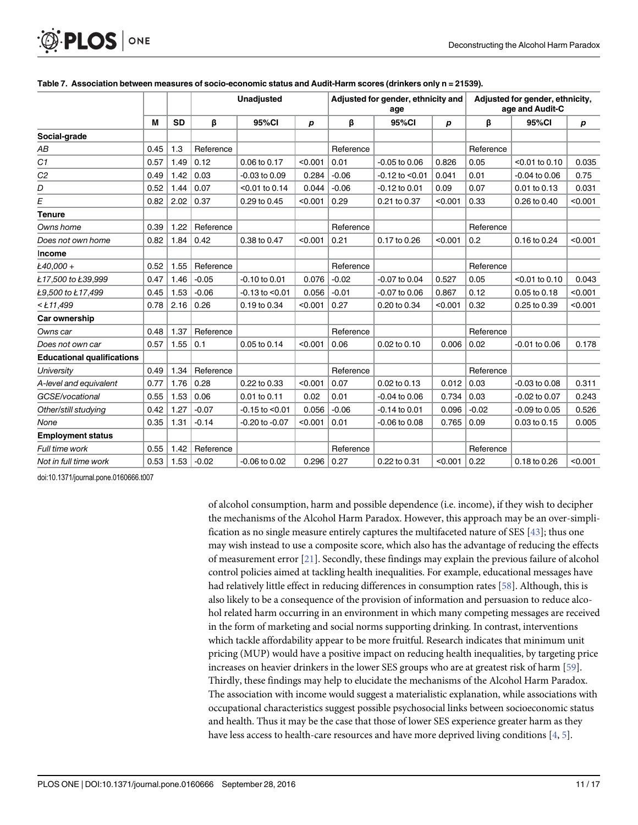|                                   |      |           | <b>Unadjusted</b> |                     |         | Adjusted for gender, ethnicity and<br>age |                     |                  | Adjusted for gender, ethnicity,<br>age and Audit-C |                   |                  |
|-----------------------------------|------|-----------|-------------------|---------------------|---------|-------------------------------------------|---------------------|------------------|----------------------------------------------------|-------------------|------------------|
|                                   | M    | <b>SD</b> | β                 | 95%CI               | р       | β                                         | 95%CI               | $\boldsymbol{p}$ | β                                                  | 95%CI             | $\boldsymbol{p}$ |
| Social-grade                      |      |           |                   |                     |         |                                           |                     |                  |                                                    |                   |                  |
| АB                                | 0.45 | 1.3       | Reference         |                     |         | Reference                                 |                     |                  | Reference                                          |                   |                  |
| C1                                | 0.57 | 1.49      | 0.12              | 0.06 to 0.17        | < 0.001 | 0.01                                      | $-0.05$ to $0.06$   | 0.826            | 0.05                                               | $< 0.01$ to 0.10  | 0.035            |
| C <sub>2</sub>                    | 0.49 | 1.42      | 0.03              | $-0.03$ to $0.09$   | 0.284   | $-0.06$                                   | $-0.12$ to $< 0.01$ | 0.041            | 0.01                                               | $-0.04$ to $0.06$ | 0.75             |
| D                                 | 0.52 | 1.44      | 0.07              | $< 0.01$ to 0.14    | 0.044   | $-0.06$                                   | $-0.12$ to 0.01     | 0.09             | 0.07                                               | 0.01 to 0.13      | 0.031            |
| E                                 | 0.82 | 2.02      | 0.37              | 0.29 to 0.45        | < 0.001 | 0.29                                      | 0.21 to 0.37        | < 0.001          | 0.33                                               | 0.26 to 0.40      | < 0.001          |
| <b>Tenure</b>                     |      |           |                   |                     |         |                                           |                     |                  |                                                    |                   |                  |
| Owns home                         | 0.39 | 1.22      | Reference         |                     |         | Reference                                 |                     |                  | Reference                                          |                   |                  |
| Does not own home                 | 0.82 | 1.84      | 0.42              | 0.38 to 0.47        | < 0.001 | 0.21                                      | 0.17 to 0.26        | < 0.001          | 0.2                                                | 0.16 to 0.24      | < 0.001          |
| Income                            |      |           |                   |                     |         |                                           |                     |                  |                                                    |                   |                  |
| Ł40,000 +                         | 0.52 | 1.55      | Reference         |                     |         | Reference                                 |                     |                  | Reference                                          |                   |                  |
| Ł17,500 to Ł39,999                | 0.47 | 1.46      | $-0.05$           | $-0.10$ to 0.01     | 0.076   | $-0.02$                                   | $-0.07$ to 0.04     | 0.527            | 0.05                                               | $< 0.01$ to 0.10  | 0.043            |
| Ł9,500 to Ł17,499                 | 0.45 | 1.53      | $-0.06$           | $-0.13$ to $< 0.01$ | 0.056   | $-0.01$                                   | -0.07 to 0.06       | 0.867            | 0.12                                               | 0.05 to 0.18      | < 0.001          |
| $<$ Ł11,499                       | 0.78 | 2.16      | 0.26              | 0.19 to 0.34        | < 0.001 | 0.27                                      | 0.20 to 0.34        | < 0.001          | 0.32                                               | 0.25 to 0.39      | < 0.001          |
| Car ownership                     |      |           |                   |                     |         |                                           |                     |                  |                                                    |                   |                  |
| Owns car                          | 0.48 | 1.37      | Reference         |                     |         | Reference                                 |                     |                  | Reference                                          |                   |                  |
| Does not own car                  | 0.57 | 1.55      | 0.1               | 0.05 to 0.14        | < 0.001 | 0.06                                      | 0.02 to 0.10        | 0.006            | 0.02                                               | $-0.01$ to 0.06   | 0.178            |
| <b>Educational qualifications</b> |      |           |                   |                     |         |                                           |                     |                  |                                                    |                   |                  |
| University                        | 0.49 | 1.34      | Reference         |                     |         | Reference                                 |                     |                  | Reference                                          |                   |                  |
| A-level and equivalent            | 0.77 | 1.76      | 0.28              | 0.22 to 0.33        | < 0.001 | 0.07                                      | 0.02 to 0.13        | 0.012            | 0.03                                               | $-0.03$ to $0.08$ | 0.311            |
| GCSE/vocational                   | 0.55 | 1.53      | 0.06              | 0.01 to 0.11        | 0.02    | 0.01                                      | $-0.04$ to $0.06$   | 0.734            | 0.03                                               | $-0.02$ to $0.07$ | 0.243            |
| Other/still studying              | 0.42 | 1.27      | $-0.07$           | $-0.15$ to $< 0.01$ | 0.056   | $-0.06$                                   | $-0.14$ to 0.01     | 0.096            | $-0.02$                                            | $-0.09$ to $0.05$ | 0.526            |
| None                              | 0.35 | 1.31      | $-0.14$           | $-0.20$ to $-0.07$  | < 0.001 | 0.01                                      | $-0.06$ to $0.08$   | 0.765            | 0.09                                               | 0.03 to 0.15      | 0.005            |
| <b>Employment status</b>          |      |           |                   |                     |         |                                           |                     |                  |                                                    |                   |                  |
| Full time work                    | 0.55 | 1.42      | Reference         |                     |         | Reference                                 |                     |                  | Reference                                          |                   |                  |
| Not in full time work             | 0.53 | 1.53      | $-0.02$           | $-0.06$ to $0.02$   | 0.296   | 0.27                                      | 0.22 to 0.31        | < 0.001          | 0.22                                               | 0.18 to 0.26      | < 0.001          |

#### <span id="page-10-0"></span>[Table 7.](#page-6-0) Association between measures of socio-economic status and Audit-Harm scores (drinkers only n = 21539).

doi:10.1371/journal.pone.0160666.t007

of alcohol consumption, harm and possible dependence (i.e. income), if they wish to decipher the mechanisms of the Alcohol Harm Paradox. However, this approach may be an over-simplification as no single measure entirely captures the multifaceted nature of SES [\[43\]](#page-15-0); thus one may wish instead to use a composite score, which also has the advantage of reducing the effects of measurement error [\[21\]](#page-14-0). Secondly, these findings may explain the previous failure of alcohol control policies aimed at tackling health inequalities. For example, educational messages have had relatively little effect in reducing differences in consumption rates [[58](#page-16-0)]. Although, this is also likely to be a consequence of the provision of information and persuasion to reduce alcohol related harm occurring in an environment in which many competing messages are received in the form of marketing and social norms supporting drinking. In contrast, interventions which tackle affordability appear to be more fruitful. Research indicates that minimum unit pricing (MUP) would have a positive impact on reducing health inequalities, by targeting price increases on heavier drinkers in the lower SES groups who are at greatest risk of harm [[59](#page-16-0)]. Thirdly, these findings may help to elucidate the mechanisms of the Alcohol Harm Paradox. The association with income would suggest a materialistic explanation, while associations with occupational characteristics suggest possible psychosocial links between socioeconomic status and health. Thus it may be the case that those of lower SES experience greater harm as they have less access to health-care resources and have more deprived living conditions  $[4, 5]$  $[4, 5]$  $[4, 5]$  $[4, 5]$ .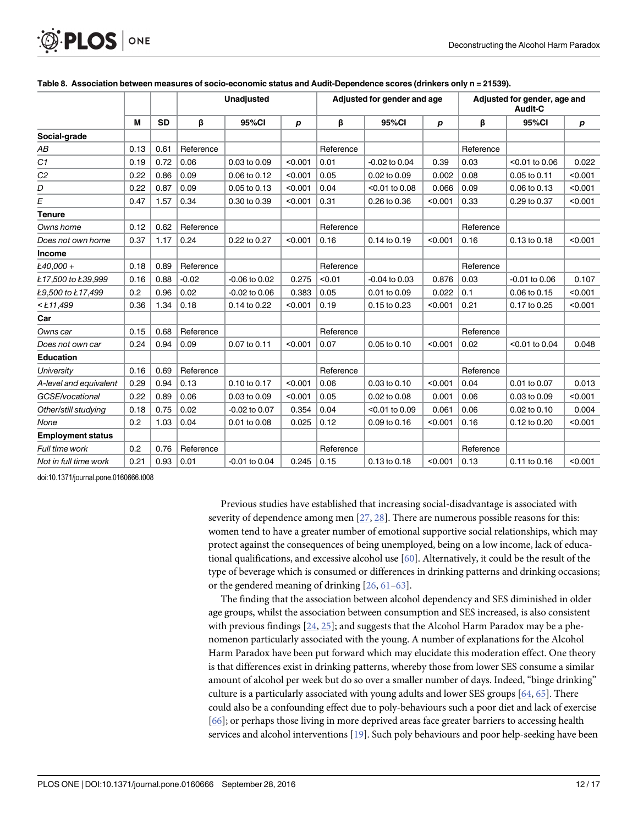|                          |      |           | <b>Unadjusted</b> |                   |                  |           | Adjusted for gender and age |         | Adjusted for gender, age and<br>Audit-C |                  |                  |
|--------------------------|------|-----------|-------------------|-------------------|------------------|-----------|-----------------------------|---------|-----------------------------------------|------------------|------------------|
|                          | M    | <b>SD</b> | β                 | 95%CI             | $\boldsymbol{p}$ | β         | 95%CI                       | p       | β                                       | 95%CI            | $\boldsymbol{p}$ |
| Social-grade             |      |           |                   |                   |                  |           |                             |         |                                         |                  |                  |
| АB                       | 0.13 | 0.61      | Reference         |                   |                  | Reference |                             |         | Reference                               |                  |                  |
| C1                       | 0.19 | 0.72      | 0.06              | 0.03 to 0.09      | < 0.001          | 0.01      | $-0.02$ to 0.04             | 0.39    | 0.03                                    | $<$ 0.01 to 0.06 | 0.022            |
| C <sub>2</sub>           | 0.22 | 0.86      | 0.09              | 0.06 to 0.12      | < 0.001          | 0.05      | 0.02 to 0.09                | 0.002   | 0.08                                    | 0.05 to 0.11     | < 0.001          |
| D                        | 0.22 | 0.87      | 0.09              | 0.05 to 0.13      | < 0.001          | 0.04      | $< 0.01$ to 0.08            | 0.066   | 0.09                                    | 0.06 to 0.13     | < 0.001          |
| E                        | 0.47 | 1.57      | 0.34              | 0.30 to 0.39      | < 0.001          | 0.31      | 0.26 to 0.36                | < 0.001 | 0.33                                    | 0.29 to 0.37     | < 0.001          |
| <b>Tenure</b>            |      |           |                   |                   |                  |           |                             |         |                                         |                  |                  |
| Owns home                | 0.12 | 0.62      | Reference         |                   |                  | Reference |                             |         | Reference                               |                  |                  |
| Does not own home        | 0.37 | 1.17      | 0.24              | 0.22 to 0.27      | < 0.001          | 0.16      | $0.14$ to $0.19$            | < 0.001 | 0.16                                    | 0.13 to 0.18     | < 0.001          |
| Income                   |      |           |                   |                   |                  |           |                             |         |                                         |                  |                  |
| Ł40,000 +                | 0.18 | 0.89      | Reference         |                   |                  | Reference |                             |         | Reference                               |                  |                  |
| Ł17,500 to Ł39,999       | 0.16 | 0.88      | $-0.02$           | $-0.06$ to $0.02$ | 0.275            | < 0.01    | $-0.04$ to 0.03             | 0.876   | 0.03                                    | $-0.01$ to 0.06  | 0.107            |
| Ł9,500 to Ł17,499        | 0.2  | 0.96      | 0.02              | $-0.02$ to $0.06$ | 0.383            | 0.05      | 0.01 to 0.09                | 0.022   | 0.1                                     | 0.06 to 0.15     | < 0.001          |
| $<$ Ł11,499              | 0.36 | 1.34      | 0.18              | 0.14 to 0.22      | < 0.001          | 0.19      | 0.15 to 0.23                | < 0.001 | 0.21                                    | 0.17 to 0.25     | < 0.001          |
| Car                      |      |           |                   |                   |                  |           |                             |         |                                         |                  |                  |
| Owns car                 | 0.15 | 0.68      | Reference         |                   |                  | Reference |                             |         | Reference                               |                  |                  |
| Does not own car         | 0.24 | 0.94      | 0.09              | 0.07 to 0.11      | < 0.001          | 0.07      | 0.05 to 0.10                | < 0.001 | 0.02                                    | <0.01 to 0.04    | 0.048            |
| <b>Education</b>         |      |           |                   |                   |                  |           |                             |         |                                         |                  |                  |
| University               | 0.16 | 0.69      | Reference         |                   |                  | Reference |                             |         | Reference                               |                  |                  |
| A-level and equivalent   | 0.29 | 0.94      | 0.13              | 0.10 to 0.17      | < 0.001          | 0.06      | $0.03$ to $0.10$            | < 0.001 | 0.04                                    | 0.01 to 0.07     | 0.013            |
| GCSE/vocational          | 0.22 | 0.89      | 0.06              | 0.03 to 0.09      | < 0.001          | 0.05      | 0.02 to 0.08                | 0.001   | 0.06                                    | 0.03 to 0.09     | < 0.001          |
| Other/still studying     | 0.18 | 0.75      | 0.02              | $-0.02$ to $0.07$ | 0.354            | 0.04      | <0.01 to 0.09               | 0.061   | 0.06                                    | 0.02 to 0.10     | 0.004            |
| None                     | 0.2  | 1.03      | 0.04              | 0.01 to 0.08      | 0.025            | 0.12      | 0.09 to 0.16                | < 0.001 | 0.16                                    | 0.12 to 0.20     | < 0.001          |
| <b>Employment status</b> |      |           |                   |                   |                  |           |                             |         |                                         |                  |                  |
| Full time work           | 0.2  | 0.76      | Reference         |                   |                  | Reference |                             |         | Reference                               |                  |                  |
| Not in full time work    | 0.21 | 0.93      | 0.01              | $-0.01$ to $0.04$ | 0.245            | 0.15      | 0.13 to 0.18                | < 0.001 | 0.13                                    | 0.11 to 0.16     | < 0.001          |

#### <span id="page-11-0"></span>[Table 8.](#page-6-0) Association between measures of socio-economic status and Audit-Dependence scores (drinkers only n = 21539).

doi:10.1371/journal.pone.0160666.t008

Previous studies have established that increasing social-disadvantage is associated with severity of dependence among men  $[27, 28]$  $[27, 28]$  $[27, 28]$ . There are numerous possible reasons for this: women tend to have a greater number of emotional supportive social relationships, which may protect against the consequences of being unemployed, being on a low income, lack of educational qualifications, and excessive alcohol use [\[60\]](#page-16-0). Alternatively, it could be the result of the type of beverage which is consumed or differences in drinking patterns and drinking occasions; or the gendered meaning of drinking [\[26](#page-14-0), [61](#page-16-0)–[63\]](#page-16-0).

The finding that the association between alcohol dependency and SES diminished in older age groups, whilst the association between consumption and SES increased, is also consistent with previous findings  $[24, 25]$  $[24, 25]$  $[24, 25]$ ; and suggests that the Alcohol Harm Paradox may be a phenomenon particularly associated with the young. A number of explanations for the Alcohol Harm Paradox have been put forward which may elucidate this moderation effect. One theory is that differences exist in drinking patterns, whereby those from lower SES consume a similar amount of alcohol per week but do so over a smaller number of days. Indeed, "binge drinking" culture is a particularly associated with young adults and lower SES groups  $[64, 65]$  $[64, 65]$  $[64, 65]$  $[64, 65]$  $[64, 65]$ . There could also be a confounding effect due to poly-behaviours such a poor diet and lack of exercise [\[66](#page-16-0)]; or perhaps those living in more deprived areas face greater barriers to accessing health services and alcohol interventions [[19](#page-14-0)]. Such poly behaviours and poor help-seeking have been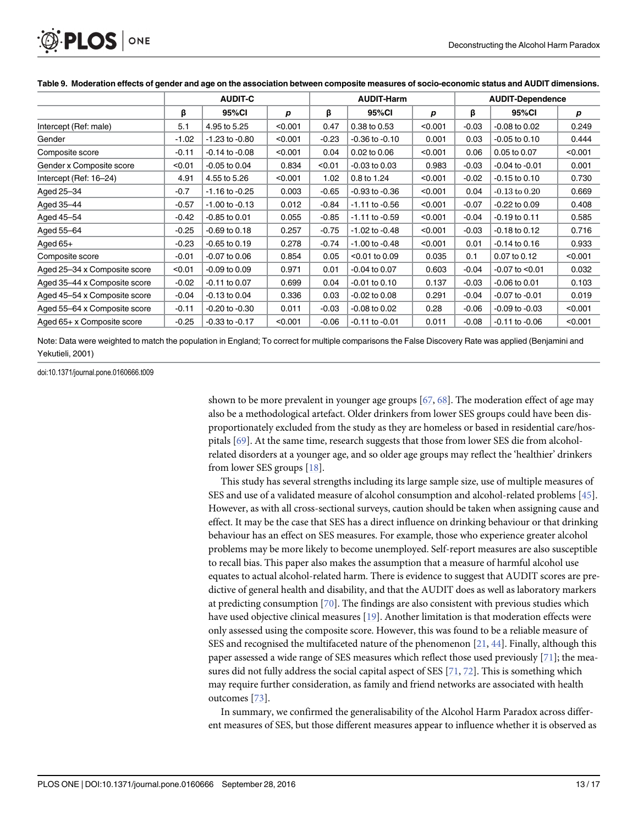<span id="page-12-0"></span>

|                              | <b>AUDIT-C</b> |                    |         | <b>AUDIT-Harm</b> |                    |         | <b>AUDIT-Dependence</b> |                     |         |  |
|------------------------------|----------------|--------------------|---------|-------------------|--------------------|---------|-------------------------|---------------------|---------|--|
|                              | β              | 95%CI              | p       | β                 | 95%CI              | р       | β                       | 95%CI               | p       |  |
| Intercept (Ref: male)        | 5.1            | 4.95 to 5.25       | < 0.001 | 0.47              | 0.38 to 0.53       | < 0.001 | $-0.03$                 | $-0.08$ to 0.02     | 0.249   |  |
| Gender                       | $-1.02$        | $-1.23$ to $-0.80$ | < 0.001 | $-0.23$           | $-0.36$ to $-0.10$ | 0.001   | 0.03                    | $-0.05$ to $0.10$   | 0.444   |  |
| Composite score              | $-0.11$        | $-0.14$ to $-0.08$ | < 0.001 | 0.04              | 0.02 to 0.06       | < 0.001 | 0.06                    | 0.05 to 0.07        | < 0.001 |  |
| Gender x Composite score     | < 0.01         | $-0.05$ to 0.04    | 0.834   | < 0.01            | $-0.03$ to $0.03$  | 0.983   | $-0.03$                 | $-0.04$ to $-0.01$  | 0.001   |  |
| Intercept (Ref: 16-24)       | 4.91           | 4.55 to 5.26       | < 0.001 | 1.02              | 0.8 to 1.24        | < 0.001 | $-0.02$                 | $-0.15$ to 0.10     | 0.730   |  |
| Aged 25-34                   | $-0.7$         | $-1.16$ to $-0.25$ | 0.003   | $-0.65$           | $-0.93$ to $-0.36$ | < 0.001 | 0.04                    | $-0.13$ to $0.20$   | 0.669   |  |
| Aged 35-44                   | $-0.57$        | $-1.00$ to $-0.13$ | 0.012   | $-0.84$           | $-1.11$ to $-0.56$ | < 0.001 | $-0.07$                 | $-0.22$ to $0.09$   | 0.408   |  |
| Aged 45-54                   | $-0.42$        | $-0.85$ to 0.01    | 0.055   | $-0.85$           | $-1.11$ to $-0.59$ | < 0.001 | $-0.04$                 | $-0.19$ to 0.11     | 0.585   |  |
| Aged 55-64                   | $-0.25$        | $-0.69$ to $0.18$  | 0.257   | $-0.75$           | $-1.02$ to $-0.48$ | < 0.001 | $-0.03$                 | $-0.18$ to 0.12     | 0.716   |  |
| Aged 65+                     | $-0.23$        | $-0.65$ to 0.19    | 0.278   | $-0.74$           | $-1.00$ to $-0.48$ | < 0.001 | 0.01                    | $-0.14$ to 0.16     | 0.933   |  |
| Composite score              | $-0.01$        | $-0.07$ to 0.06    | 0.854   | 0.05              | $<$ 0.01 to 0.09   | 0.035   | 0.1                     | 0.07 to 0.12        | < 0.001 |  |
| Aged 25-34 x Composite score | < 0.01         | $-0.09$ to $0.09$  | 0.971   | 0.01              | $-0.04$ to 0.07    | 0.603   | $-0.04$                 | $-0.07$ to $< 0.01$ | 0.032   |  |
| Aged 35-44 x Composite score | $-0.02$        | $-0.11$ to 0.07    | 0.699   | 0.04              | $-0.01$ to 0.10    | 0.137   | $-0.03$                 | $-0.06$ to 0.01     | 0.103   |  |
| Aged 45-54 x Composite score | $-0.04$        | $-0.13$ to 0.04    | 0.336   | 0.03              | $-0.02$ to 0.08    | 0.291   | $-0.04$                 | $-0.07$ to $-0.01$  | 0.019   |  |
| Aged 55-64 x Composite score | $-0.11$        | $-0.20$ to $-0.30$ | 0.011   | $-0.03$           | $-0.08$ to 0.02    | 0.28    | $-0.06$                 | $-0.09$ to $-0.03$  | < 0.001 |  |
| Aged 65+ x Composite score   | $-0.25$        | $-0.33$ to $-0.17$ | < 0.001 | $-0.06$           | $-0.11$ to $-0.01$ | 0.011   | $-0.08$                 | $-0.11$ to $-0.06$  | < 0.001 |  |

[Table 9.](#page-7-0) Moderation effects of gender and age on the association between composite measures of socio-economic status and AUDIT dimensions.

Note: Data were weighted to match the population in England; To correct for multiple comparisons the False Discovery Rate was applied (Benjamini and Yekutieli, 2001)

doi:10.1371/journal.pone.0160666.t009

shown to be more prevalent in younger age groups [[67](#page-16-0), [68](#page-16-0)]. The moderation effect of age may also be a methodological artefact. Older drinkers from lower SES groups could have been disproportionately excluded from the study as they are homeless or based in residential care/hospitals [\[69\]](#page-16-0). At the same time, research suggests that those from lower SES die from alcoholrelated disorders at a younger age, and so older age groups may reflect the 'healthier' drinkers from lower SES groups [\[18\]](#page-14-0).

This study has several strengths including its large sample size, use of multiple measures of SES and use of a validated measure of alcohol consumption and alcohol-related problems [\[45](#page-15-0)]. However, as with all cross-sectional surveys, caution should be taken when assigning cause and effect. It may be the case that SES has a direct influence on drinking behaviour or that drinking behaviour has an effect on SES measures. For example, those who experience greater alcohol problems may be more likely to become unemployed. Self-report measures are also susceptible to recall bias. This paper also makes the assumption that a measure of harmful alcohol use equates to actual alcohol-related harm. There is evidence to suggest that AUDIT scores are predictive of general health and disability, and that the AUDIT does as well as laboratory markers at predicting consumption [[70\]](#page-16-0). The findings are also consistent with previous studies which have used objective clinical measures [[19](#page-14-0)]. Another limitation is that moderation effects were only assessed using the composite score. However, this was found to be a reliable measure of SES and recognised the multifaceted nature of the phenomenon  $[21, 44]$  $[21, 44]$  $[21, 44]$  $[21, 44]$  $[21, 44]$ . Finally, although this paper assessed a wide range of SES measures which reflect those used previously  $[71]$  $[71]$  $[71]$ ; the measures did not fully address the social capital aspect of SES  $[71, 72]$  $[71, 72]$  $[71, 72]$  $[71, 72]$  $[71, 72]$ . This is something which may require further consideration, as family and friend networks are associated with health outcomes [[73\]](#page-16-0).

In summary, we confirmed the generalisability of the Alcohol Harm Paradox across different measures of SES, but those different measures appear to influence whether it is observed as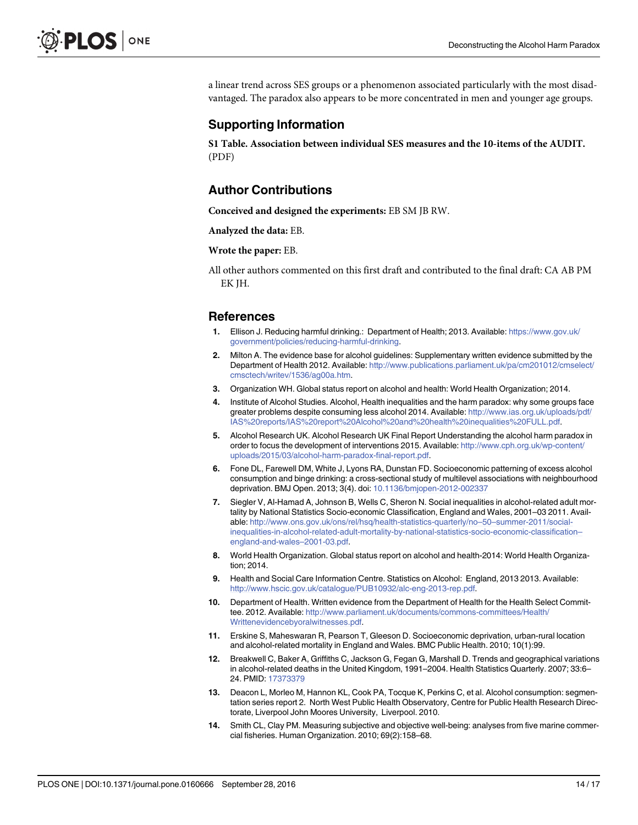<span id="page-13-0"></span>a linear trend across SES groups or a phenomenon associated particularly with the most disadvantaged. The paradox also appears to be more concentrated in men and younger age groups.

#### Supporting Information

[S1 Table](http://www.plosone.org/article/fetchSingleRepresentation.action?uri=info:doi/10.1371/journal.pone.0160666.s001). Association between individual SES measures and the 10-items of the AUDIT. (PDF)

#### Author Contributions

Conceived and designed the experiments: EB SM JB RW.

Analyzed the data: EB.

#### Wrote the paper: EB.

All other authors commented on this first draft and contributed to the final draft: CA AB PM EK JH.

#### References

- [1.](#page-1-0) Ellison J. Reducing harmful drinking.: Department of Health; 2013. Available: [https://www.gov.uk/](https://www.gov.uk/government/policies/reducing-harmful-drinking) [government/policies/reducing-harmful-drinking.](https://www.gov.uk/government/policies/reducing-harmful-drinking)
- [2.](#page-1-0) Milton A. The evidence base for alcohol guidelines: Supplementary written evidence submitted by the Department of Health 2012. Available: [http://www.publications.parliament.uk/pa/cm201012/cmselect/](http://www.publications.parliament.uk/pa/cm201012/cmselect/cmsctech/writev/1536/ag00a.htm) [cmsctech/writev/1536/ag00a.htm](http://www.publications.parliament.uk/pa/cm201012/cmselect/cmsctech/writev/1536/ag00a.htm).
- [3.](#page-1-0) Organization WH. Global status report on alcohol and health: World Health Organization; 2014.
- [4.](#page-1-0) Institute of Alcohol Studies. Alcohol, Health inequalities and the harm paradox: why some groups face greater problems despite consuming less alcohol 2014. Available: [http://www.ias.org.uk/uploads/pdf/](http://www.ias.org.uk/uploads/pdf/IAS%20reports/IAS%20report%20Alcohol%20and%20health%20inequalities%20FULL.pdf) [IAS%20reports/IAS%20report%20Alcohol%20and%20health%20inequalities%20FULL.pdf.](http://www.ias.org.uk/uploads/pdf/IAS%20reports/IAS%20report%20Alcohol%20and%20health%20inequalities%20FULL.pdf)
- [5.](#page-1-0) Alcohol Research UK. Alcohol Research UK Final Report Understanding the alcohol harm paradox in order to focus the development of interventions 2015. Available: [http://www.cph.org.uk/wp-content/](http://www.cph.org.uk/wp-content/uploads/2015/03/alcohol-harm-paradox-final-report.pdf) [uploads/2015/03/alcohol-harm-paradox-final-report.pdf.](http://www.cph.org.uk/wp-content/uploads/2015/03/alcohol-harm-paradox-final-report.pdf)
- 6. Fone DL, Farewell DM, White J, Lyons RA, Dunstan FD. Socioeconomic patterning of excess alcohol consumption and binge drinking: a cross-sectional study of multilevel associations with neighbourhood deprivation. BMJ Open. 2013; 3(4). doi: [10.1136/bmjopen-2012-002337](http://dx.doi.org/10.1136/bmjopen-2012-002337)
- 7. Siegler V, Al-Hamad A, Johnson B, Wells C, Sheron N. Social inequalities in alcohol-related adult mortality by National Statistics Socio-economic Classification, England and Wales, 2001–03 2011. Available: [http://www.ons.gov.uk/ons/rel/hsq/health-statistics-quarterly/no](http://www.ons.gov.uk/ons/rel/hsq/health-statistics-quarterly/no--50--summer-2011/social-inequalities-in-alcohol-related-adult-mortality-by-national-statistics-socio-economic-classification--england-and-wales--2001-03.pdf)–50–summer-2011/social[inequalities-in-alcohol-related-adult-mortality-by-national-statistics-socio-economic-classification](http://www.ons.gov.uk/ons/rel/hsq/health-statistics-quarterly/no--50--summer-2011/social-inequalities-in-alcohol-related-adult-mortality-by-national-statistics-socio-economic-classification--england-and-wales--2001-03.pdf)– [england-and-wales](http://www.ons.gov.uk/ons/rel/hsq/health-statistics-quarterly/no--50--summer-2011/social-inequalities-in-alcohol-related-adult-mortality-by-national-statistics-socio-economic-classification--england-and-wales--2001-03.pdf)–2001-03.pdf.
- 8. World Health Organization. Global status report on alcohol and health-2014: World Health Organization; 2014.
- [9.](#page-2-0) Health and Social Care Information Centre. Statistics on Alcohol: England, 2013 2013. Available: [http://www.hscic.gov.uk/catalogue/PUB10932/alc-eng-2013-rep.pdf.](http://www.hscic.gov.uk/catalogue/PUB10932/alc-eng-2013-rep.pdf)
- 10. Department of Health. Written evidence from the Department of Health for the Health Select Committee. 2012. Available: [http://www.parliament.uk/documents/commons-committees/Health/](http://www.parliament.uk/documents/commons-committees/Health/Writtenevidencebyoralwitnesses.pdf) [Writtenevidencebyoralwitnesses.pdf](http://www.parliament.uk/documents/commons-committees/Health/Writtenevidencebyoralwitnesses.pdf).
- 11. Erskine S, Maheswaran R, Pearson T, Gleeson D. Socioeconomic deprivation, urban-rural location and alcohol-related mortality in England and Wales. BMC Public Health. 2010; 10(1):99.
- 12. Breakwell C, Baker A, Griffiths C, Jackson G, Fegan G, Marshall D. Trends and geographical variations in alcohol-related deaths in the United Kingdom, 1991–2004. Health Statistics Quarterly. 2007; 33:6– 24. PMID: [17373379](http://www.ncbi.nlm.nih.gov/pubmed/17373379)
- 13. Deacon L, Morleo M, Hannon KL, Cook PA, Tocque K, Perkins C, et al. Alcohol consumption: segmentation series report 2. North West Public Health Observatory, Centre for Public Health Research Directorate, Liverpool John Moores University, Liverpool. 2010.
- 14. Smith CL, Clay PM. Measuring subjective and objective well-being: analyses from five marine commercial fisheries. Human Organization. 2010; 69(2):158–68.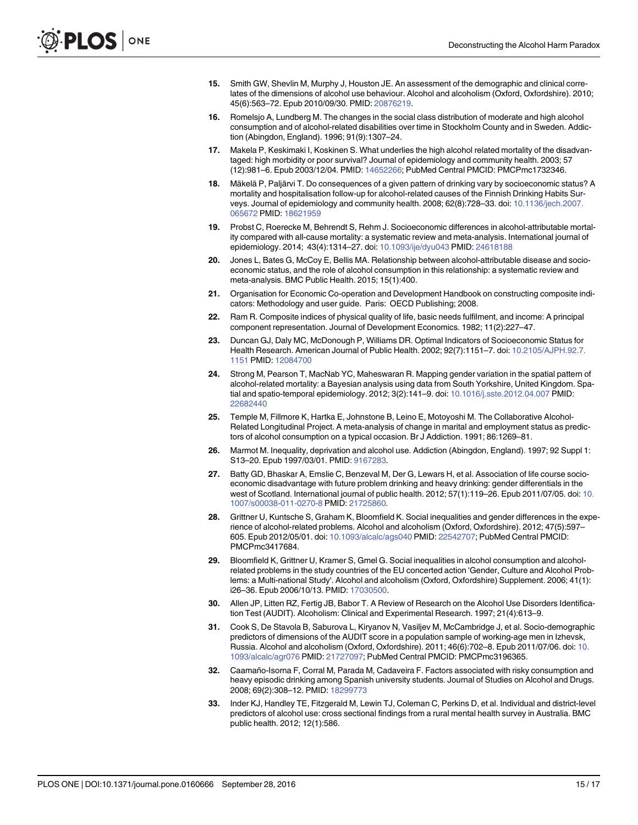- <span id="page-14-0"></span>[15.](#page-9-0) Smith GW, Shevlin M, Murphy J, Houston JE. An assessment of the demographic and clinical correlates of the dimensions of alcohol use behaviour. Alcohol and alcoholism (Oxford, Oxfordshire). 2010; 45(6):563–72. Epub 2010/09/30. PMID: [20876219.](http://www.ncbi.nlm.nih.gov/pubmed/20876219)
- 16. Romelsjo A, Lundberg M. The changes in the social class distribution of moderate and high alcohol consumption and of alcohol-related disabilities over time in Stockholm County and in Sweden. Addiction (Abingdon, England). 1996; 91(9):1307–24.
- [17.](#page-3-0) Makela P, Keskimaki I, Koskinen S. What underlies the high alcohol related mortality of the disadvantaged: high morbidity or poor survival? Journal of epidemiology and community health. 2003; 57 (12):981–6. Epub 2003/12/04. PMID: [14652266;](http://www.ncbi.nlm.nih.gov/pubmed/14652266) PubMed Central PMCID: PMCPmc1732346.
- [18.](#page-12-0) Mäkelä P, Paljärvi T. Do consequences of a given pattern of drinking vary by socioeconomic status? A mortality and hospitalisation follow-up for alcohol-related causes of the Finnish Drinking Habits Surveys. Journal of epidemiology and community health. 2008; 62(8):728–33. doi: [10.1136/jech.2007.](http://dx.doi.org/10.1136/jech.2007.065672) [065672](http://dx.doi.org/10.1136/jech.2007.065672) PMID: [18621959](http://www.ncbi.nlm.nih.gov/pubmed/18621959)
- [19.](#page-1-0) Probst C, Roerecke M, Behrendt S, Rehm J. Socioeconomic differences in alcohol-attributable mortality compared with all-cause mortality: a systematic review and meta-analysis. International journal of epidemiology. 2014; 43(4):1314–27. doi: [10.1093/ije/dyu043](http://dx.doi.org/10.1093/ije/dyu043) PMID: [24618188](http://www.ncbi.nlm.nih.gov/pubmed/24618188)
- [20.](#page-1-0) Jones L, Bates G, McCoy E, Bellis MA. Relationship between alcohol-attributable disease and socioeconomic status, and the role of alcohol consumption in this relationship: a systematic review and meta-analysis. BMC Public Health. 2015; 15(1):400.
- [21.](#page-1-0) Organisation for Economic Co-operation and Development Handbook on constructing composite indicators: Methodology and user guide. Paris: OECD Publishing; 2008.
- [22.](#page-1-0) Ram R. Composite indices of physical quality of life, basic needs fulfilment, and income: A principal component representation. Journal of Development Economics. 1982; 11(2):227–47.
- [23.](#page-1-0) Duncan GJ, Daly MC, McDonough P, Williams DR. Optimal Indicators of Socioeconomic Status for Health Research. American Journal of Public Health. 2002; 92(7):1151–7. doi: [10.2105/AJPH.92.7.](http://dx.doi.org/10.2105/AJPH.92.7.1151) [1151](http://dx.doi.org/10.2105/AJPH.92.7.1151) PMID: [12084700](http://www.ncbi.nlm.nih.gov/pubmed/12084700)
- [24.](#page-1-0) Strong M, Pearson T, MacNab YC, Maheswaran R. Mapping gender variation in the spatial pattern of alcohol-related mortality: a Bayesian analysis using data from South Yorkshire, United Kingdom. Spatial and spatio-temporal epidemiology. 2012; 3(2):141–9. doi: [10.1016/j.sste.2012.04.007](http://dx.doi.org/10.1016/j.sste.2012.04.007) PMID: [22682440](http://www.ncbi.nlm.nih.gov/pubmed/22682440)
- [25.](#page-11-0) Temple M, Fillmore K, Hartka E, Johnstone B, Leino E, Motoyoshi M. The Collaborative Alcohol-Related Longitudinal Project. A meta-analysis of change in marital and employment status as predictors of alcohol consumption on a typical occasion. Br J Addiction. 1991; 86:1269–81.
- [26.](#page-11-0) Marmot M. Inequality, deprivation and alcohol use. Addiction (Abingdon, England). 1997; 92 Suppl 1: S13–20. Epub 1997/03/01. PMID: [9167283](http://www.ncbi.nlm.nih.gov/pubmed/9167283).
- [27.](#page-11-0) Batty GD, Bhaskar A, Emslie C, Benzeval M, Der G, Lewars H, et al. Association of life course socioeconomic disadvantage with future problem drinking and heavy drinking: gender differentials in the west of Scotland. International journal of public health. 2012; 57(1):119-26. Epub 2011/07/05. doi: [10.](http://dx.doi.org/10.1007/s00038-011-0270-8) [1007/s00038-011-0270-8](http://dx.doi.org/10.1007/s00038-011-0270-8) PMID: [21725860](http://www.ncbi.nlm.nih.gov/pubmed/21725860).
- [28.](#page-1-0) Grittner U, Kuntsche S, Graham K, Bloomfield K. Social inequalities and gender differences in the experience of alcohol-related problems. Alcohol and alcoholism (Oxford, Oxfordshire). 2012; 47(5):597– 605. Epub 2012/05/01. doi: [10.1093/alcalc/ags040](http://dx.doi.org/10.1093/alcalc/ags040) PMID: [22542707](http://www.ncbi.nlm.nih.gov/pubmed/22542707); PubMed Central PMCID: PMCPmc3417684.
- [29.](#page-1-0) Bloomfield K, Grittner U, Kramer S, Gmel G. Social inequalities in alcohol consumption and alcoholrelated problems in the study countries of the EU concerted action 'Gender, Culture and Alcohol Problems: a Multi-national Study'. Alcohol and alcoholism (Oxford, Oxfordshire) Supplement. 2006; 41(1): i26–36. Epub 2006/10/13. PMID: [17030500](http://www.ncbi.nlm.nih.gov/pubmed/17030500).
- [30.](#page-1-0) Allen JP, Litten RZ, Fertig JB, Babor T. A Review of Research on the Alcohol Use Disorders Identification Test (AUDIT). Alcoholism: Clinical and Experimental Research. 1997; 21(4):613–9.
- [31.](#page-2-0) Cook S, De Stavola B, Saburova L, Kiryanov N, Vasiljev M, McCambridge J, et al. Socio-demographic predictors of dimensions of the AUDIT score in a population sample of working-age men in Izhevsk, Russia. Alcohol and alcoholism (Oxford, Oxfordshire). 2011; 46(6):702–8. Epub 2011/07/06. doi: [10.](http://dx.doi.org/10.1093/alcalc/agr076) [1093/alcalc/agr076](http://dx.doi.org/10.1093/alcalc/agr076) PMID: [21727097](http://www.ncbi.nlm.nih.gov/pubmed/21727097); PubMed Central PMCID: PMCPmc3196365.
- 32. Caamaño-Isorna F, Corral M, Parada M, Cadaveira F. Factors associated with risky consumption and heavy episodic drinking among Spanish university students. Journal of Studies on Alcohol and Drugs. 2008; 69(2):308–12. PMID: [18299773](http://www.ncbi.nlm.nih.gov/pubmed/18299773)
- [33.](#page-2-0) Inder KJ, Handley TE, Fitzgerald M, Lewin TJ, Coleman C, Perkins D, et al. Individual and district-level predictors of alcohol use: cross sectional findings from a rural mental health survey in Australia. BMC public health. 2012; 12(1):586.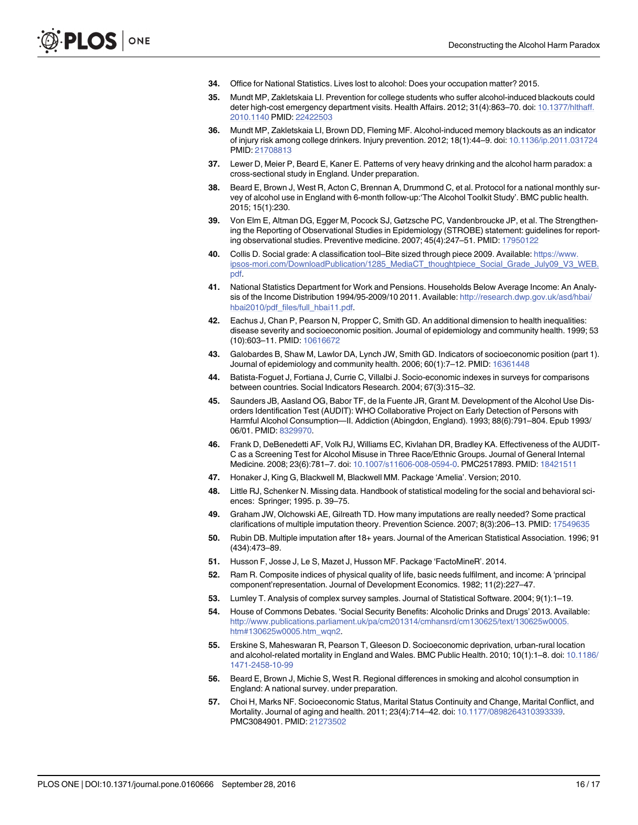- <span id="page-15-0"></span>[34.](#page-2-0) Office for National Statistics. Lives lost to alcohol: Does your occupation matter? 2015.
- [35.](#page-2-0) Mundt MP, Zakletskaia LI. Prevention for college students who suffer alcohol-induced blackouts could deter high-cost emergency department visits. Health Affairs. 2012; 31(4):863–70. doi: [10.1377/hlthaff.](http://dx.doi.org/10.1377/hlthaff.2010.1140) [2010.1140](http://dx.doi.org/10.1377/hlthaff.2010.1140) PMID: [22422503](http://www.ncbi.nlm.nih.gov/pubmed/22422503)
- [36.](#page-2-0) Mundt MP, Zakletskaia LI, Brown DD, Fleming MF. Alcohol-induced memory blackouts as an indicator of injury risk among college drinkers. Injury prevention. 2012; 18(1):44–9. doi: [10.1136/ip.2011.031724](http://dx.doi.org/10.1136/ip.2011.031724) PMID: [21708813](http://www.ncbi.nlm.nih.gov/pubmed/21708813)
- [37.](#page-2-0) Lewer D, Meier P, Beard E, Kaner E. Patterns of very heavy drinking and the alcohol harm paradox: a cross-sectional study in England. Under preparation.
- [38.](#page-3-0) Beard E, Brown J, West R, Acton C, Brennan A, Drummond C, et al. Protocol for a national monthly survey of alcohol use in England with 6-month follow-up:'The Alcohol Toolkit Study'. BMC public health. 2015; 15(1):230.
- [39.](#page-3-0) Von Elm E, Altman DG, Egger M, Pocock SJ, Gøtzsche PC, Vandenbroucke JP, et al. The Strengthening the Reporting of Observational Studies in Epidemiology (STROBE) statement: guidelines for reporting observational studies. Preventive medicine. 2007; 45(4):247–51. PMID: [17950122](http://www.ncbi.nlm.nih.gov/pubmed/17950122)
- [40.](#page-3-0) Collis D. Social grade: A classification tool–Bite sized through piece 2009. Available: [https://www.](https://www.ipsos-mori.com/DownloadPublication/1285_MediaCT_thoughtpiece_Social_Grade_July09_V3_WEB.pdf) [ipsos-mori.com/DownloadPublication/1285\\_MediaCT\\_thoughtpiece\\_Social\\_Grade\\_July09\\_V3\\_WEB.](https://www.ipsos-mori.com/DownloadPublication/1285_MediaCT_thoughtpiece_Social_Grade_July09_V3_WEB.pdf) [pdf.](https://www.ipsos-mori.com/DownloadPublication/1285_MediaCT_thoughtpiece_Social_Grade_July09_V3_WEB.pdf)
- [41.](#page-3-0) National Statistics Department for Work and Pensions. Households Below Average Income: An Analysis of the Income Distribution 1994/95-2009/10 2011. Available: [http://research.dwp.gov.uk/asd/hbai/](http://research.dwp.gov.uk/asd/hbai/hbai2010/pdf_files/full_hbai11.pdf) [hbai2010/pdf\\_files/full\\_hbai11.pdf.](http://research.dwp.gov.uk/asd/hbai/hbai2010/pdf_files/full_hbai11.pdf)
- [42.](#page-3-0) Eachus J, Chan P, Pearson N, Propper C, Smith GD. An additional dimension to health inequalities: disease severity and socioeconomic position. Journal of epidemiology and community health. 1999; 53 (10):603–11. PMID: [10616672](http://www.ncbi.nlm.nih.gov/pubmed/10616672)
- [43.](#page-3-0) Galobardes B, Shaw M, Lawlor DA, Lynch JW, Smith GD. Indicators of socioeconomic position (part 1). Journal of epidemiology and community health. 2006; 60(1):7-12. PMID: [16361448](http://www.ncbi.nlm.nih.gov/pubmed/16361448)
- [44.](#page-3-0) Batista-Foguet J, Fortiana J, Currie C, Villalbi J. Socio-economic indexes in surveys for comparisons between countries. Social Indicators Research. 2004; 67(3):315–32.
- [45.](#page-3-0) Saunders JB, Aasland OG, Babor TF, de la Fuente JR, Grant M. Development of the Alcohol Use Disorders Identification Test (AUDIT): WHO Collaborative Project on Early Detection of Persons with Harmful Alcohol Consumption—II. Addiction (Abingdon, England). 1993; 88(6):791–804. Epub 1993/ 06/01. PMID: [8329970](http://www.ncbi.nlm.nih.gov/pubmed/8329970).
- [46.](#page-4-0) Frank D, DeBenedetti AF, Volk RJ, Williams EC, Kivlahan DR, Bradley KA. Effectiveness of the AUDIT-C as a Screening Test for Alcohol Misuse in Three Race/Ethnic Groups. Journal of General Internal Medicine. 2008; 23(6):781–7. doi: [10.1007/s11606-008-0594-0.](http://dx.doi.org/10.1007/s11606-008-0594-0) PMC2517893. PMID: [18421511](http://www.ncbi.nlm.nih.gov/pubmed/18421511)
- [47.](#page-4-0) Honaker J, King G, Blackwell M, Blackwell MM. Package 'Amelia'. Version; 2010.
- [48.](#page-4-0) Little RJ, Schenker N. Missing data. Handbook of statistical modeling for the social and behavioral sciences: Springer; 1995. p. 39–75.
- [49.](#page-4-0) Graham JW, Olchowski AE, Gilreath TD. How many imputations are really needed? Some practical clarifications of multiple imputation theory. Prevention Science. 2007; 8(3):206–13. PMID: [17549635](http://www.ncbi.nlm.nih.gov/pubmed/17549635)
- [50.](#page-4-0) Rubin DB. Multiple imputation after 18+ years. Journal of the American Statistical Association. 1996; 91 (434):473–89.
- [51.](#page-4-0) Husson F, Josse J, Le S, Mazet J, Husson MF. Package 'FactoMineR'. 2014.
- [52.](#page-4-0) Ram R. Composite indices of physical quality of life, basic needs fulfilment, and income: A 'principal component'representation. Journal of Development Economics. 1982; 11(2):227–47.
- [53.](#page-4-0) Lumley T. Analysis of complex survey samples. Journal of Statistical Software. 2004; 9(1):1–19.
- [54.](#page-9-0) House of Commons Debates. 'Social Security Benefits: Alcoholic Drinks and Drugs' 2013. Available: [http://www.publications.parliament.uk/pa/cm201314/cmhansrd/cm130625/text/130625w0005.](http://www.publications.parliament.uk/pa/cm201314/cmhansrd/cm130625/text/130625w0005.htm#130625w0005.htm_wqn2) [htm#130625w0005.htm\\_wqn2.](http://www.publications.parliament.uk/pa/cm201314/cmhansrd/cm130625/text/130625w0005.htm#130625w0005.htm_wqn2)
- [55.](#page-9-0) Erskine S, Maheswaran R, Pearson T, Gleeson D. Socioeconomic deprivation, urban-rural location and alcohol-related mortality in England and Wales. BMC Public Health. 2010; 10(1):1–8. doi: [10.1186/](http://dx.doi.org/10.1186/1471-2458-10-99) [1471-2458-10-99](http://dx.doi.org/10.1186/1471-2458-10-99)
- [56.](#page-9-0) Beard E, Brown J, Michie S, West R. Regional differences in smoking and alcohol consumption in England: A national survey. under preparation.
- [57.](#page-9-0) Choi H, Marks NF. Socioeconomic Status, Marital Status Continuity and Change, Marital Conflict, and Mortality. Journal of aging and health. 2011; 23(4):714–42. doi: [10.1177/0898264310393339](http://dx.doi.org/10.1177/0898264310393339). PMC3084901. PMID: [21273502](http://www.ncbi.nlm.nih.gov/pubmed/21273502)